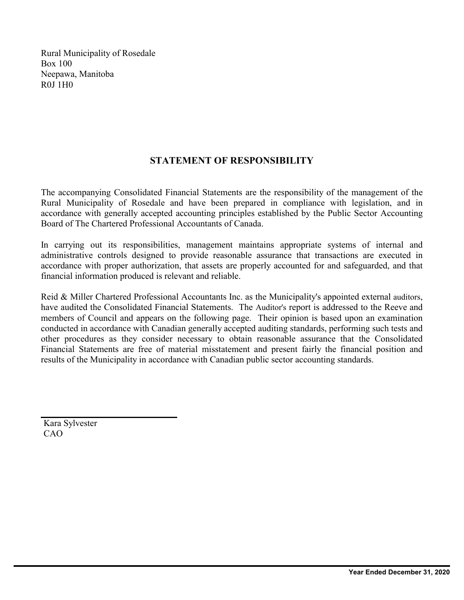Rural Municipality of Rosedale Box 100 Neepawa, Manitoba R0J 1H0

#### **STATEMENT OF RESPONSIBILITY**

The accompanying Consolidated Financial Statements are the responsibility of the management of the Rural Municipality of Rosedale and have been prepared in compliance with legislation, and in accordance with generally accepted accounting principles established by the Public Sector Accounting Board of The Chartered Professional Accountants of Canada.

In carrying out its responsibilities, management maintains appropriate systems of internal and administrative controls designed to provide reasonable assurance that transactions are executed in accordance with proper authorization, that assets are properly accounted for and safeguarded, and that financial information produced is relevant and reliable.

Reid & Miller Chartered Professional Accountants Inc. as the Municipality's appointed external auditors, have audited the Consolidated Financial Statements. The Auditor's report is addressed to the Reeve and members of Council and appears on the following page. Their opinion is based upon an examination conducted in accordance with Canadian generally accepted auditing standards, performing such tests and other procedures as they consider necessary to obtain reasonable assurance that the Consolidated Financial Statements are free of material misstatement and present fairly the financial position and results of the Municipality in accordance with Canadian public sector accounting standards.

Kara Sylvester CAO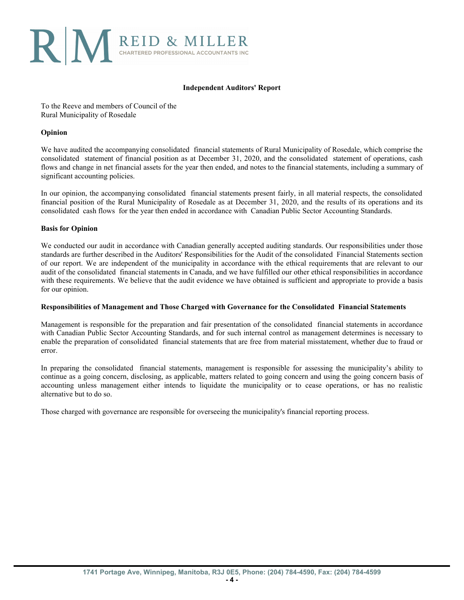

#### **Independent Auditors' Report**

To the Reeve and members of Council of the Rural Municipality of Rosedale

#### **Opinion**

We have audited the accompanying consolidated financial statements of Rural Municipality of Rosedale, which comprise the consolidated statement of financial position as at December 31, 2020, and the consolidated statement of operations, cash flows and change in net financial assets for the year then ended, and notes to the financial statements, including a summary of significant accounting policies.

In our opinion, the accompanying consolidated financial statements present fairly, in all material respects, the consolidated financial position of the Rural Municipality of Rosedale as at December 31, 2020, and the results of its operations and its consolidated cash flows for the year then ended in accordance with Canadian Public Sector Accounting Standards.

#### **Basis for Opinion**

We conducted our audit in accordance with Canadian generally accepted auditing standards. Our responsibilities under those standards are further described in the Auditors' Responsibilities for the Audit of the consolidated Financial Statements section of our report. We are independent of the municipality in accordance with the ethical requirements that are relevant to our audit of the consolidated financial statements in Canada, and we have fulfilled our other ethical responsibilities in accordance with these requirements. We believe that the audit evidence we have obtained is sufficient and appropriate to provide a basis for our opinion.

#### **Responsibilities of Management and Those Charged with Governance for the Consolidated Financial Statements**

Management is responsible for the preparation and fair presentation of the consolidated financial statements in accordance with Canadian Public Sector Accounting Standards, and for such internal control as management determines is necessary to enable the preparation of consolidated financial statements that are free from material misstatement, whether due to fraud or error.

In preparing the consolidated financial statements, management is responsible for assessing the municipality's ability to continue as a going concern, disclosing, as applicable, matters related to going concern and using the going concern basis of accounting unless management either intends to liquidate the municipality or to cease operations, or has no realistic alternative but to do so.

Those charged with governance are responsible for overseeing the municipality's financial reporting process.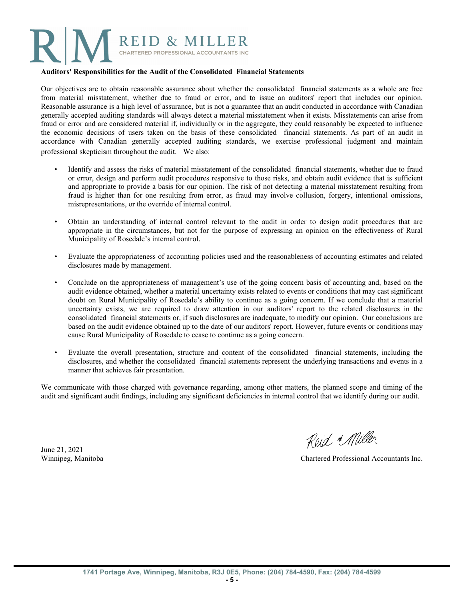

#### **Auditors' Responsibilities for the Audit of the Consolidated Financial Statements**

Our objectives are to obtain reasonable assurance about whether the consolidated financial statements as a whole are free from material misstatement, whether due to fraud or error, and to issue an auditors' report that includes our opinion. Reasonable assurance is a high level of assurance, but is not a guarantee that an audit conducted in accordance with Canadian generally accepted auditing standards will always detect a material misstatement when it exists. Misstatements can arise from fraud or error and are considered material if, individually or in the aggregate, they could reasonably be expected to influence the economic decisions of users taken on the basis of these consolidated financial statements. As part of an audit in accordance with Canadian generally accepted auditing standards, we exercise professional judgment and maintain professional skepticism throughout the audit. We also:

- Identify and assess the risks of material misstatement of the consolidated financial statements, whether due to fraud or error, design and perform audit procedures responsive to those risks, and obtain audit evidence that is sufficient and appropriate to provide a basis for our opinion. The risk of not detecting a material misstatement resulting from fraud is higher than for one resulting from error, as fraud may involve collusion, forgery, intentional omissions, misrepresentations, or the override of internal control.
- Obtain an understanding of internal control relevant to the audit in order to design audit procedures that are appropriate in the circumstances, but not for the purpose of expressing an opinion on the effectiveness of Rural Municipality of Rosedale's internal control.
- Evaluate the appropriateness of accounting policies used and the reasonableness of accounting estimates and related disclosures made by management.
- Conclude on the appropriateness of management's use of the going concern basis of accounting and, based on the audit evidence obtained, whether a material uncertainty exists related to events or conditions that may cast significant doubt on Rural Municipality of Rosedale's ability to continue as a going concern. If we conclude that a material uncertainty exists, we are required to draw attention in our auditors' report to the related disclosures in the consolidated financial statements or, if such disclosures are inadequate, to modify our opinion. Our conclusions are based on the audit evidence obtained up to the date of our auditors' report. However, future events or conditions may cause Rural Municipality of Rosedale to cease to continue as a going concern.
- Evaluate the overall presentation, structure and content of the consolidated financial statements, including the disclosures, and whether the consolidated financial statements represent the underlying transactions and events in a manner that achieves fair presentation.

We communicate with those charged with governance regarding, among other matters, the planned scope and timing of the audit and significant audit findings, including any significant deficiencies in internal control that we identify during our audit.

June 21, 2021

Reid & Miller

Winnipeg, Manitoba **Chartered Professional Accountants Inc.**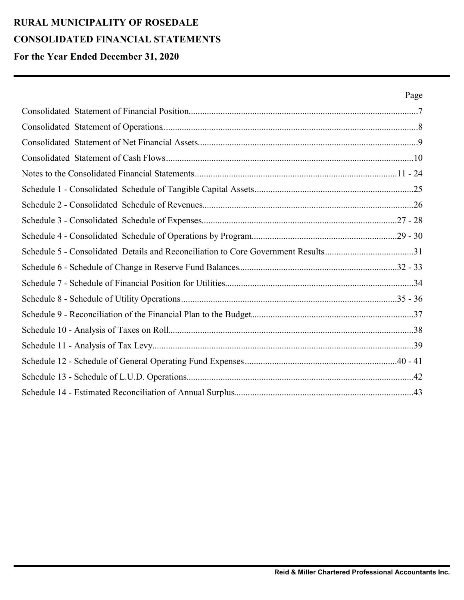# **RURAL MUNICIPALITY OF ROSEDALE CONSOLIDATED FINANCIAL STATEMENTS** For the Year Ended December 31, 2020

#### Page

| Schedule 5 - Consolidated Details and Reconciliation to Core Government Results31 |
|-----------------------------------------------------------------------------------|
|                                                                                   |
|                                                                                   |
|                                                                                   |
|                                                                                   |
|                                                                                   |
|                                                                                   |
|                                                                                   |
|                                                                                   |
|                                                                                   |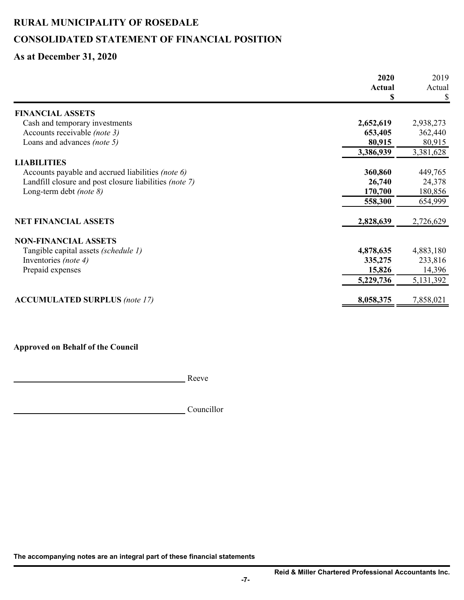# **CONSOLIDATED STATEMENT OF FINANCIAL POSITION**

### **As at December 31, 2020**

|                                                        | 2020          | 2019      |
|--------------------------------------------------------|---------------|-----------|
|                                                        | <b>Actual</b> | Actual    |
|                                                        | S             | \$        |
| <b>FINANCIAL ASSETS</b>                                |               |           |
| Cash and temporary investments                         | 2,652,619     | 2,938,273 |
| Accounts receivable <i>(note 3)</i>                    | 653,405       | 362,440   |
| Loans and advances (note 5)                            | 80,915        | 80,915    |
|                                                        | 3,386,939     | 3,381,628 |
| <b>LIABILITIES</b>                                     |               |           |
| Accounts payable and accrued liabilities (note 6)      | 360,860       | 449,765   |
| Landfill closure and post closure liabilities (note 7) | 26,740        | 24,378    |
| Long-term debt (note $8$ )                             | 170,700       | 180,856   |
|                                                        | 558,300       | 654,999   |
| <b>NET FINANCIAL ASSETS</b>                            | 2,828,639     | 2,726,629 |
|                                                        |               |           |
| <b>NON-FINANCIAL ASSETS</b>                            |               |           |
| Tangible capital assets (schedule 1)                   | 4,878,635     | 4,883,180 |
| Inventories (note 4)                                   | 335,275       | 233,816   |
| Prepaid expenses                                       | 15,826        | 14,396    |
|                                                        | 5,229,736     | 5,131,392 |
|                                                        |               |           |
| <b>ACCUMULATED SURPLUS</b> (note 17)                   | 8,058,375     | 7,858,021 |
|                                                        |               |           |

**Approved on Behalf of the Council**

**Reeve** Reeve

Councillor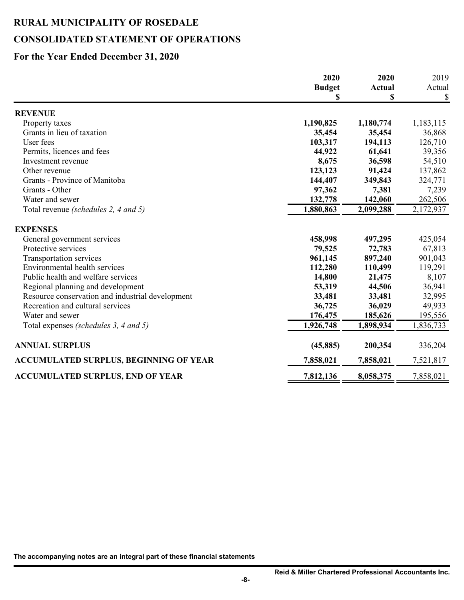# **RURAL MUNICIPALITY OF ROSEDALE CONSOLIDATED STATEMENT OF OPERATIONS**

### **For the Year Ended December 31, 2020**

|                                                    | 2020<br><b>Budget</b><br>\$ | 2020          | 2019              |
|----------------------------------------------------|-----------------------------|---------------|-------------------|
|                                                    |                             | <b>Actual</b> | Actual            |
|                                                    |                             | \$            | \$                |
| <b>REVENUE</b>                                     |                             |               |                   |
| Property taxes                                     | 1,190,825                   | 1,180,774     | 1,183,115         |
| Grants in lieu of taxation                         | 35,454                      | 35,454        | 36,868            |
| User fees                                          | 103,317                     | 194,113       | 126,710           |
| Permits, licences and fees                         | 44,922                      | 61,641        | 39,356            |
| Investment revenue                                 | 8,675                       | 36,598        | 54,510            |
| Other revenue                                      | 123,123                     | 91,424        | 137,862           |
| Grants - Province of Manitoba                      | 144,407                     | 349,843       | 324,771           |
| Grants - Other                                     | 97,362                      | 7,381         | 7,239             |
| Water and sewer                                    | 132,778                     | 142,060       | 262,506           |
| Total revenue (schedules 2, 4 and 5)               | 1,880,863                   | 2,099,288     | 2,172,937         |
| <b>EXPENSES</b>                                    |                             |               |                   |
|                                                    | 458,998                     | 497,295       | 425,054           |
| General government services<br>Protective services | 79,525                      | 72,783        |                   |
| <b>Transportation services</b>                     | 961,145                     | 897,240       | 67,813<br>901,043 |
| Environmental health services                      | 112,280                     |               | 119,291           |
| Public health and welfare services                 |                             | 110,499       |                   |
|                                                    | 14,800                      | 21,475        | 8,107             |
| Regional planning and development                  | 53,319                      | 44,506        | 36,941            |
| Resource conservation and industrial development   | 33,481                      | 33,481        | 32,995            |
| Recreation and cultural services                   | 36,725                      | 36,029        | 49,933            |
| Water and sewer                                    | 176,475                     | 185,626       | 195,556           |
| Total expenses (schedules 3, 4 and 5)              | 1,926,748                   | 1,898,934     | 1,836,733         |
| <b>ANNUAL SURPLUS</b>                              | (45, 885)                   | 200,354       | 336,204           |
| <b>ACCUMULATED SURPLUS, BEGINNING OF YEAR</b>      | 7,858,021                   | 7,858,021     | 7,521,817         |
| <b>ACCUMULATED SURPLUS, END OF YEAR</b>            | 7,812,136                   | 8,058,375     | 7,858,021         |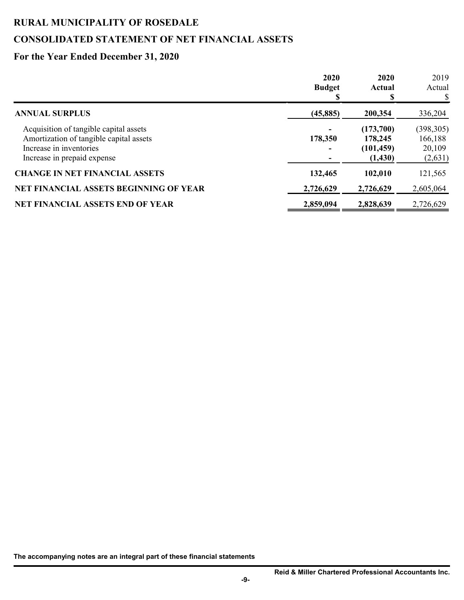# **CONSOLIDATED STATEMENT OF NET FINANCIAL ASSETS**

### **For the Year Ended December 31, 2020**

|                                                                                                                                             | 2020<br><b>Budget</b> | 2020<br>Actual                                | 2019<br>Actual<br>\$                       |
|---------------------------------------------------------------------------------------------------------------------------------------------|-----------------------|-----------------------------------------------|--------------------------------------------|
| <b>ANNUAL SURPLUS</b>                                                                                                                       | (45, 885)             | 200,354                                       | 336,204                                    |
| Acquisition of tangible capital assets<br>Amortization of tangible capital assets<br>Increase in inventories<br>Increase in prepaid expense | 178,350               | (173,700)<br>178,245<br>(101, 459)<br>(1,430) | (398, 305)<br>166,188<br>20,109<br>(2,631) |
| <b>CHANGE IN NET FINANCIAL ASSETS</b>                                                                                                       | 132,465               | 102,010                                       | 121,565                                    |
| NET FINANCIAL ASSETS BEGINNING OF YEAR                                                                                                      | 2,726,629             | 2,726,629                                     | 2,605,064                                  |
| <b>NET FINANCIAL ASSETS END OF YEAR</b>                                                                                                     | 2,859,094             | 2,828,639                                     | 2,726,629                                  |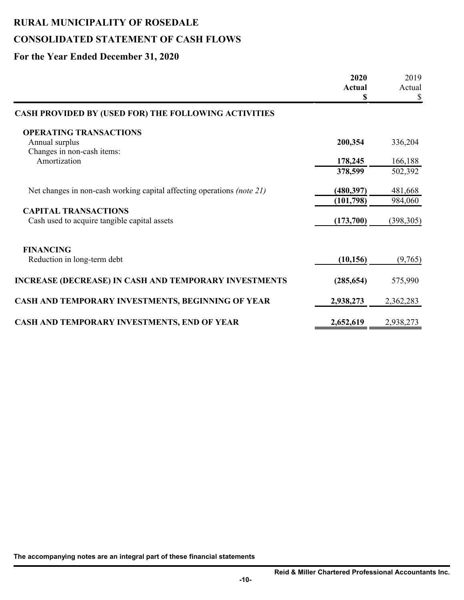# **RURAL MUNICIPALITY OF ROSEDALE CONSOLIDATED STATEMENT OF CASH FLOWS**

# **For the Year Ended December 31, 2020**

|                                                                               | 2020                | 2019         |
|-------------------------------------------------------------------------------|---------------------|--------------|
|                                                                               | <b>Actual</b><br>\$ | Actual<br>\$ |
| CASH PROVIDED BY (USED FOR) THE FOLLOWING ACTIVITIES                          |                     |              |
| <b>OPERATING TRANSACTIONS</b>                                                 |                     |              |
| Annual surplus                                                                | 200,354             | 336,204      |
| Changes in non-cash items:                                                    |                     |              |
| Amortization                                                                  | 178,245             | 166,188      |
|                                                                               | 378,599             | 502,392      |
| Net changes in non-cash working capital affecting operations <i>(note 21)</i> | (480, 397)          | 481,668      |
|                                                                               | (101,798)           | 984,060      |
| <b>CAPITAL TRANSACTIONS</b>                                                   |                     |              |
| Cash used to acquire tangible capital assets                                  | (173,700)           | (398, 305)   |
|                                                                               |                     |              |
| <b>FINANCING</b><br>Reduction in long-term debt                               | (10, 156)           | (9,765)      |
|                                                                               |                     |              |
| <b>INCREASE (DECREASE) IN CASH AND TEMPORARY INVESTMENTS</b>                  | (285, 654)          | 575,990      |
| CASH AND TEMPORARY INVESTMENTS, BEGINNING OF YEAR                             | 2,938,273           | 2,362,283    |
| CASH AND TEMPORARY INVESTMENTS, END OF YEAR                                   | 2,652,619           | 2,938,273    |
|                                                                               |                     |              |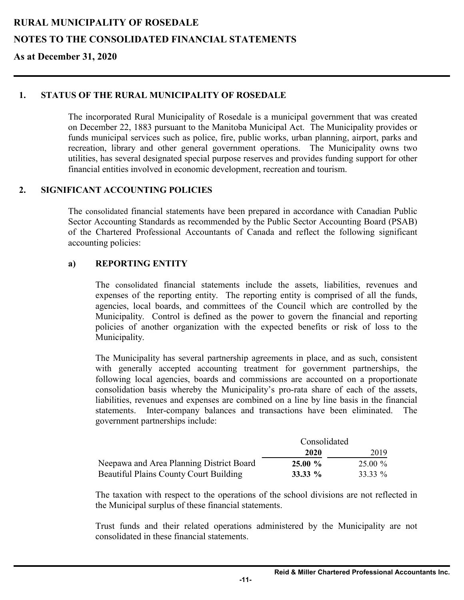### **NOTES TO THE CONSOLIDATED FINANCIAL STATEMENTS**

**As at December 31, 2020**

#### **1. STATUS OF THE RURAL MUNICIPALITY OF ROSEDALE**

The incorporated Rural Municipality of Rosedale is a municipal government that was created on December 22, 1883 pursuant to the Manitoba Municipal Act. The Municipality provides or funds municipal services such as police, fire, public works, urban planning, airport, parks and recreation, library and other general government operations. The Municipality owns two utilities, has several designated special purpose reserves and provides funding support for other financial entities involved in economic development, recreation and tourism.

#### **2. SIGNIFICANT ACCOUNTING POLICIES**

The consolidated financial statements have been prepared in accordance with Canadian Public Sector Accounting Standards as recommended by the Public Sector Accounting Board (PSAB) of the Chartered Professional Accountants of Canada and reflect the following significant accounting policies:

#### **a) REPORTING ENTITY**

The consolidated financial statements include the assets, liabilities, revenues and expenses of the reporting entity. The reporting entity is comprised of all the funds, agencies, local boards, and committees of the Council which are controlled by the Municipality. Control is defined as the power to govern the financial and reporting policies of another organization with the expected benefits or risk of loss to the Municipality.

The Municipality has several partnership agreements in place, and as such, consistent with generally accepted accounting treatment for government partnerships, the following local agencies, boards and commissions are accounted on a proportionate consolidation basis whereby the Municipality's pro-rata share of each of the assets, liabilities, revenues and expenses are combined on a line by line basis in the financial statements. Inter-company balances and transactions have been eliminated. The government partnerships include:

|                                               | Consolidated |           |
|-----------------------------------------------|--------------|-----------|
|                                               | 2020         | 2019      |
| Neepawa and Area Planning District Board      | $25.00 \%$   | $25.00\%$ |
| <b>Beautiful Plains County Court Building</b> | 33.33 $\%$   | 33.33 %   |

The taxation with respect to the operations of the school divisions are not reflected in the Municipal surplus of these financial statements.

Trust funds and their related operations administered by the Municipality are not consolidated in these financial statements.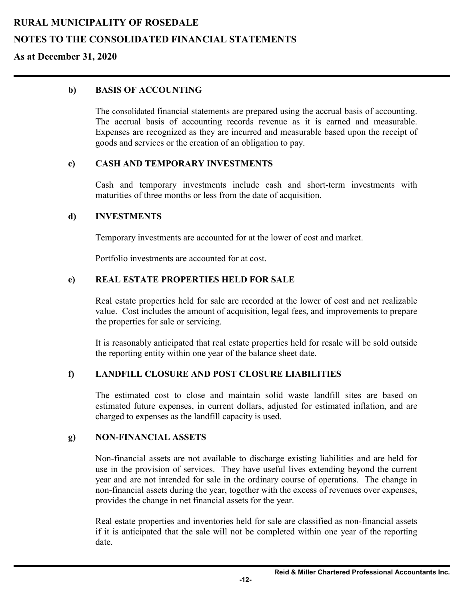# **NOTES TO THE CONSOLIDATED FINANCIAL STATEMENTS**

#### **As at December 31, 2020**

#### **b) BASIS OF ACCOUNTING**

The consolidated financial statements are prepared using the accrual basis of accounting. The accrual basis of accounting records revenue as it is earned and measurable. Expenses are recognized as they are incurred and measurable based upon the receipt of goods and services or the creation of an obligation to pay.

#### **c) CASH AND TEMPORARY INVESTMENTS**

Cash and temporary investments include cash and short-term investments with maturities of three months or less from the date of acquisition.

#### **d) INVESTMENTS**

Temporary investments are accounted for at the lower of cost and market.

Portfolio investments are accounted for at cost.

#### **e) REAL ESTATE PROPERTIES HELD FOR SALE**

Real estate properties held for sale are recorded at the lower of cost and net realizable value. Cost includes the amount of acquisition, legal fees, and improvements to prepare the properties for sale or servicing.

It is reasonably anticipated that real estate properties held for resale will be sold outside the reporting entity within one year of the balance sheet date.

#### **f) LANDFILL CLOSURE AND POST CLOSURE LIABILITIES**

The estimated cost to close and maintain solid waste landfill sites are based on estimated future expenses, in current dollars, adjusted for estimated inflation, and are charged to expenses as the landfill capacity is used.

#### **g) NON-FINANCIAL ASSETS**

Non-financial assets are not available to discharge existing liabilities and are held for use in the provision of services. They have useful lives extending beyond the current year and are not intended for sale in the ordinary course of operations. The change in non-financial assets during the year, together with the excess of revenues over expenses, provides the change in net financial assets for the year.

Real estate properties and inventories held for sale are classified as non-financial assets if it is anticipated that the sale will not be completed within one year of the reporting date.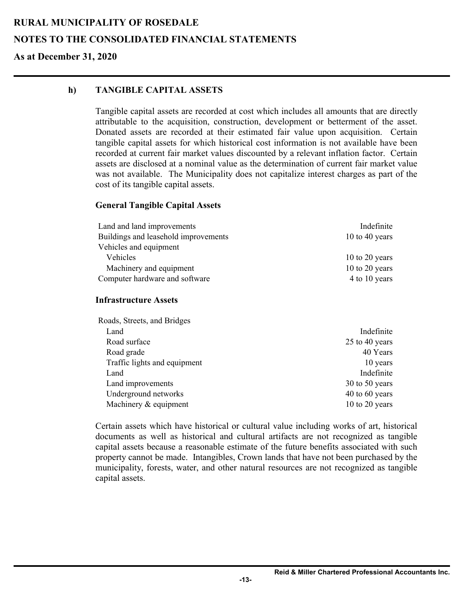# **NOTES TO THE CONSOLIDATED FINANCIAL STATEMENTS**

# **As at December 31, 2020**

# **h) TANGIBLE CAPITAL ASSETS**

Tangible capital assets are recorded at cost which includes all amounts that are directly attributable to the acquisition, construction, development or betterment of the asset. Donated assets are recorded at their estimated fair value upon acquisition. Certain tangible capital assets for which historical cost information is not available have been recorded at current fair market values discounted by a relevant inflation factor. Certain assets are disclosed at a nominal value as the determination of current fair market value was not available. The Municipality does not capitalize interest charges as part of the cost of its tangible capital assets.

### **General Tangible Capital Assets**

| 10 to 40 years |
|----------------|
|                |
| 10 to 20 years |
| 10 to 20 years |
| 4 to 10 years  |
|                |

### **Infrastructure Assets**

| Roads, Streets, and Bridges  |                    |
|------------------------------|--------------------|
| Land                         | Indefinite         |
| Road surface                 | 25 to 40 years     |
| Road grade                   | 40 Years           |
| Traffic lights and equipment | 10 years           |
| Land                         | Indefinite         |
| Land improvements            | $30$ to $50$ years |
| Underground networks         | $40$ to $60$ years |
| Machinery & equipment        | $10$ to $20$ years |
|                              |                    |

Certain assets which have historical or cultural value including works of art, historical documents as well as historical and cultural artifacts are not recognized as tangible capital assets because a reasonable estimate of the future benefits associated with such property cannot be made. Intangibles, Crown lands that have not been purchased by the municipality, forests, water, and other natural resources are not recognized as tangible capital assets.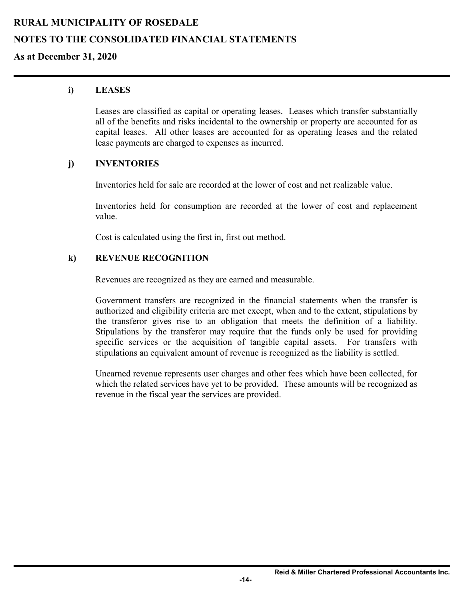#### **As at December 31, 2020**

#### **i) LEASES**

Leases are classified as capital or operating leases. Leases which transfer substantially all of the benefits and risks incidental to the ownership or property are accounted for as capital leases. All other leases are accounted for as operating leases and the related lease payments are charged to expenses as incurred.

#### **j) INVENTORIES**

Inventories held for sale are recorded at the lower of cost and net realizable value.

Inventories held for consumption are recorded at the lower of cost and replacement value.

Cost is calculated using the first in, first out method.

#### **k) REVENUE RECOGNITION**

Revenues are recognized as they are earned and measurable.

Government transfers are recognized in the financial statements when the transfer is authorized and eligibility criteria are met except, when and to the extent, stipulations by the transferor gives rise to an obligation that meets the definition of a liability. Stipulations by the transferor may require that the funds only be used for providing specific services or the acquisition of tangible capital assets. For transfers with stipulations an equivalent amount of revenue is recognized as the liability is settled.

Unearned revenue represents user charges and other fees which have been collected, for which the related services have yet to be provided. These amounts will be recognized as revenue in the fiscal year the services are provided.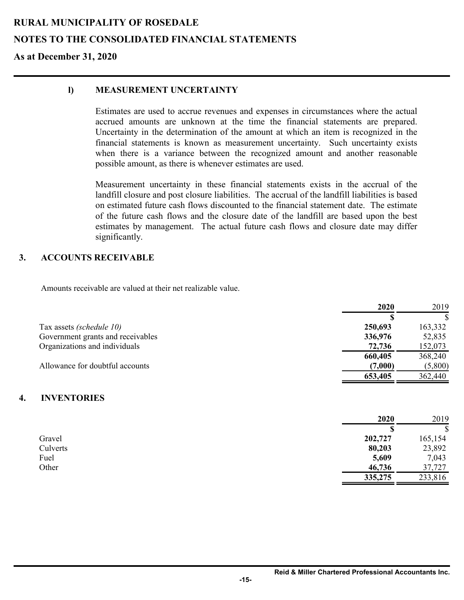### **NOTES TO THE CONSOLIDATED FINANCIAL STATEMENTS**

**As at December 31, 2020**

#### **l) MEASUREMENT UNCERTAINTY**

Estimates are used to accrue revenues and expenses in circumstances where the actual accrued amounts are unknown at the time the financial statements are prepared. Uncertainty in the determination of the amount at which an item is recognized in the financial statements is known as measurement uncertainty. Such uncertainty exists when there is a variance between the recognized amount and another reasonable possible amount, as there is whenever estimates are used.

Measurement uncertainty in these financial statements exists in the accrual of the landfill closure and post closure liabilities. The accrual of the landfill liabilities is based on estimated future cash flows discounted to the financial statement date. The estimate of the future cash flows and the closure date of the landfill are based upon the best estimates by management. The actual future cash flows and closure date may differ significantly.

#### **3. ACCOUNTS RECEIVABLE**

Amounts receivable are valued at their net realizable value.

|                                   | 2020    | 2019    |
|-----------------------------------|---------|---------|
|                                   | S       |         |
| Tax assets (schedule 10)          | 250,693 | 163,332 |
| Government grants and receivables | 336,976 | 52,835  |
| Organizations and individuals     | 72,736  | 152,073 |
|                                   | 660,405 | 368,240 |
| Allowance for doubtful accounts   | (7,000) | (5,800) |
|                                   | 653,405 | 362,440 |
|                                   |         |         |
| <b>INTERNADIRA</b>                |         |         |

#### **4. INVENTORIES**

|          | 2020    | 2019    |
|----------|---------|---------|
|          | S       | \$      |
| Gravel   | 202,727 | 165,154 |
| Culverts | 80,203  | 23,892  |
| Fuel     | 5,609   | 7,043   |
| Other    | 46,736  | 37,727  |
|          | 335,275 | 233,816 |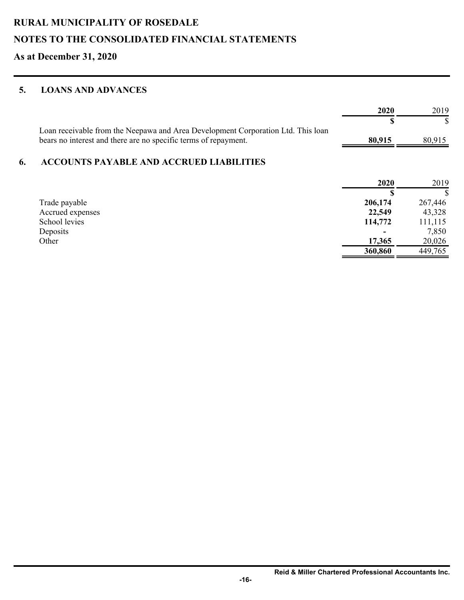# **NOTES TO THE CONSOLIDATED FINANCIAL STATEMENTS**

**As at December 31, 2020**

#### **5. LOANS AND ADVANCES**

|                                                                                  | 2020   | 2019   |
|----------------------------------------------------------------------------------|--------|--------|
|                                                                                  |        |        |
| Loan receivable from the Neepawa and Area Development Corporation Ltd. This loan |        |        |
| bears no interest and there are no specific terms of repayment.                  | 80.915 | 80.915 |
|                                                                                  |        |        |

#### **6. ACCOUNTS PAYABLE AND ACCRUED LIABILITIES**

|                  | 2020    | 2019    |
|------------------|---------|---------|
|                  | S       | \$      |
| Trade payable    | 206,174 | 267,446 |
| Accrued expenses | 22,549  | 43,328  |
| School levies    | 114,772 | 111,115 |
| Deposits         |         | 7,850   |
| Other            | 17,365  | 20,026  |
|                  | 360,860 | 449,765 |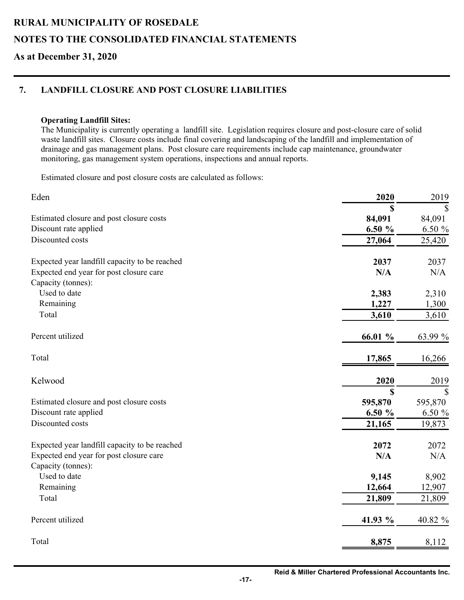# **NOTES TO THE CONSOLIDATED FINANCIAL STATEMENTS**

# **As at December 31, 2020**

# **7. LANDFILL CLOSURE AND POST CLOSURE LIABILITIES**

#### **Operating Landfill Sites:**

The Municipality is currently operating a landfill site. Legislation requires closure and post-closure care of solid waste landfill sites. Closure costs include final covering and landscaping of the landfill and implementation of drainage and gas management plans. Post closure care requirements include cap maintenance, groundwater monitoring, gas management system operations, inspections and annual reports.

Estimated closure and post closure costs are calculated as follows:

| Eden                                          | 2020    | 2019          |
|-----------------------------------------------|---------|---------------|
|                                               | S       | $\mathcal{S}$ |
| Estimated closure and post closure costs      | 84,091  | 84,091        |
| Discount rate applied                         | 6.50%   | 6.50 %        |
| Discounted costs                              | 27,064  | 25,420        |
| Expected year landfill capacity to be reached | 2037    | 2037          |
| Expected end year for post closure care       | N/A     | N/A           |
| Capacity (tonnes):                            |         |               |
| Used to date                                  | 2,383   | 2,310         |
| Remaining                                     | 1,227   | 1,300         |
| Total                                         | 3,610   | 3,610         |
| Percent utilized                              | 66.01 % | 63.99 %       |
| Total                                         | 17,865  | 16,266        |
| Kelwood                                       | 2020    | 2019          |
|                                               | \$      | $\mathcal{S}$ |
| Estimated closure and post closure costs      | 595,870 | 595,870       |
| Discount rate applied                         | 6.50 %  | 6.50 %        |
| Discounted costs                              | 21,165  | 19,873        |
| Expected year landfill capacity to be reached | 2072    | 2072          |
| Expected end year for post closure care       | N/A     | N/A           |
| Capacity (tonnes):                            |         |               |
| Used to date                                  | 9,145   | 8,902         |
| Remaining                                     | 12,664  | 12,907        |
| Total                                         | 21,809  | 21,809        |
| Percent utilized                              | 41.93 % | 40.82 %       |
| Total                                         | 8,875   | 8,112         |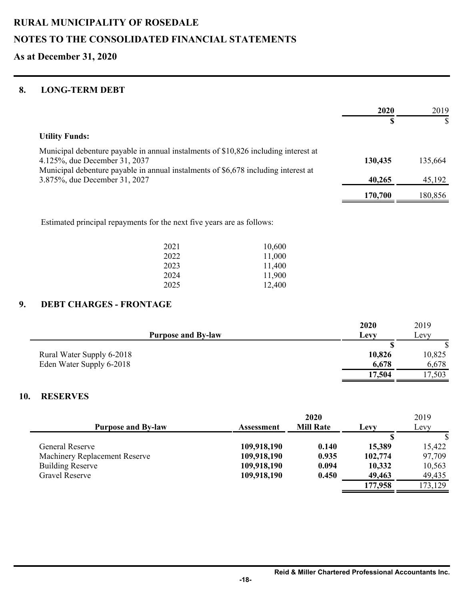# **NOTES TO THE CONSOLIDATED FINANCIAL STATEMENTS**

# **As at December 31, 2020**

#### **8. LONG-TERM DEBT**

|                                                                                                                                                                                                            | 2020    | 2019    |
|------------------------------------------------------------------------------------------------------------------------------------------------------------------------------------------------------------|---------|---------|
|                                                                                                                                                                                                            | \$      | \$      |
| <b>Utility Funds:</b>                                                                                                                                                                                      |         |         |
| Municipal debenture payable in annual instalments of \$10,826 including interest at<br>4.125%, due December 31, 2037<br>Municipal debenture payable in annual instalments of \$6,678 including interest at | 130,435 | 135,664 |
| 3.875%, due December 31, 2027                                                                                                                                                                              | 40,265  | 45,192  |
|                                                                                                                                                                                                            | 170,700 | 180,856 |

Estimated principal repayments for the next five years are as follows:

| 2021 | 10,600 |
|------|--------|
| 2022 | 11,000 |
| 2023 | 11,400 |
| 2024 | 11,900 |
| 2025 | 12,400 |

#### **9. DEBT CHARGES - FRONTAGE**

|                           | 2020   | 2019   |
|---------------------------|--------|--------|
| <b>Purpose and By-law</b> | Levy   | Levv   |
|                           |        |        |
| Rural Water Supply 6-2018 | 10,826 | 10,825 |
| Eden Water Supply 6-2018  | 6,678  | 6,678  |
|                           | 17,504 | 7,503  |

#### **10. RESERVES**

|                                      |             | 2020             |         | 2019    |
|--------------------------------------|-------------|------------------|---------|---------|
| <b>Purpose and By-law</b>            | Assessment  | <b>Mill Rate</b> | Levy    | Levy    |
|                                      |             |                  | S       |         |
| General Reserve                      | 109,918,190 | 0.140            | 15,389  | 15,422  |
| <b>Machinery Replacement Reserve</b> | 109,918,190 | 0.935            | 102,774 | 97,709  |
| <b>Building Reserve</b>              | 109,918,190 | 0.094            | 10,332  | 10,563  |
| <b>Gravel Reserve</b>                | 109,918,190 | 0.450            | 49,463  | 49,435  |
|                                      |             |                  | 177,958 | 173,129 |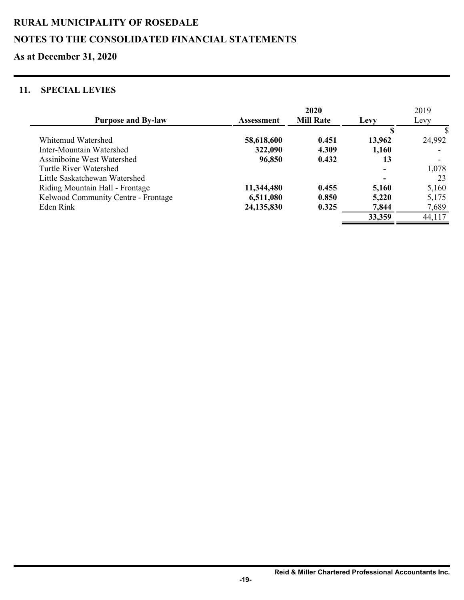# **As at December 31, 2020**

### **11. SPECIAL LEVIES**

|                                     |                   | 2020             |        | 2019   |
|-------------------------------------|-------------------|------------------|--------|--------|
| <b>Purpose and By-law</b>           | <b>Assessment</b> | <b>Mill Rate</b> | Levy   | Levy   |
|                                     |                   |                  |        |        |
| Whitemud Watershed                  | 58,618,600        | 0.451            | 13,962 | 24,992 |
| Inter-Mountain Watershed            | 322,090           | 4.309            | 1,160  |        |
| Assiniboine West Watershed          | 96,850            | 0.432            | 13     |        |
| Turtle River Watershed              |                   |                  |        | 1,078  |
| Little Saskatchewan Watershed       |                   |                  |        | 23     |
| Riding Mountain Hall - Frontage     | 11,344,480        | 0.455            | 5,160  | 5,160  |
| Kelwood Community Centre - Frontage | 6,511,080         | 0.850            | 5,220  | 5,175  |
| Eden Rink                           | 24,135,830        | 0.325            | 7,844  | 7,689  |
|                                     |                   |                  | 33,359 | 44,117 |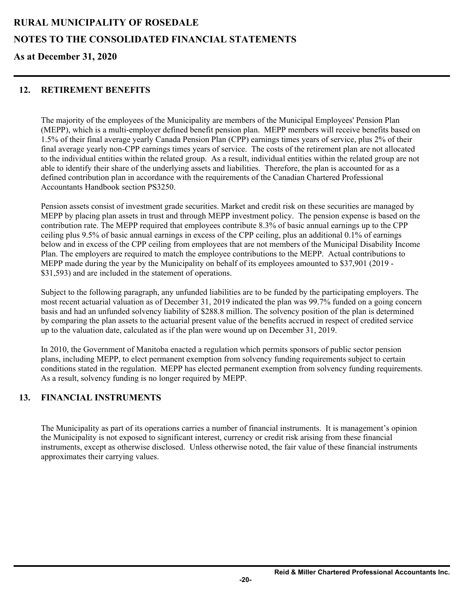**As at December 31, 2020**

#### **12. RETIREMENT BENEFITS**

The majority of the employees of the Municipality are members of the Municipal Employees' Pension Plan (MEPP), which is a multi-employer defined benefit pension plan. MEPP members will receive benefits based on 1.5% of their final average yearly Canada Pension Plan (CPP) earnings times years of service, plus 2% of their final average yearly non-CPP earnings times years of service. The costs of the retirement plan are not allocated to the individual entities within the related group. As a result, individual entities within the related group are not able to identify their share of the underlying assets and liabilities. Therefore, the plan is accounted for as a defined contribution plan in accordance with the requirements of the Canadian Chartered Professional Accountants Handbook section PS3250.

Pension assets consist of investment grade securities. Market and credit risk on these securities are managed by MEPP by placing plan assets in trust and through MEPP investment policy. The pension expense is based on the contribution rate. The MEPP required that employees contribute 8.3% of basic annual earnings up to the CPP ceiling plus 9.5% of basic annual earnings in excess of the CPP ceiling, plus an additional 0.1% of earnings below and in excess of the CPP ceiling from employees that are not members of the Municipal Disability Income Plan. The employers are required to match the employee contributions to the MEPP. Actual contributions to MEPP made during the year by the Municipality on behalf of its employees amounted to \$37,901 (2019 - \$31,593) and are included in the statement of operations.

Subject to the following paragraph, any unfunded liabilities are to be funded by the participating employers. The most recent actuarial valuation as of December 31, 2019 indicated the plan was 99.7% funded on a going concern basis and had an unfunded solvency liability of \$288.8 million. The solvency position of the plan is determined by comparing the plan assets to the actuarial present value of the benefits accrued in respect of credited service up to the valuation date, calculated as if the plan were wound up on December 31, 2019.

In 2010, the Government of Manitoba enacted a regulation which permits sponsors of public sector pension plans, including MEPP, to elect permanent exemption from solvency funding requirements subject to certain conditions stated in the regulation. MEPP has elected permanent exemption from solvency funding requirements. As a result, solvency funding is no longer required by MEPP.

#### **13. FINANCIAL INSTRUMENTS**

The Municipality as part of its operations carries a number of financial instruments. It is management's opinion the Municipality is not exposed to significant interest, currency or credit risk arising from these financial instruments, except as otherwise disclosed. Unless otherwise noted, the fair value of these financial instruments approximates their carrying values.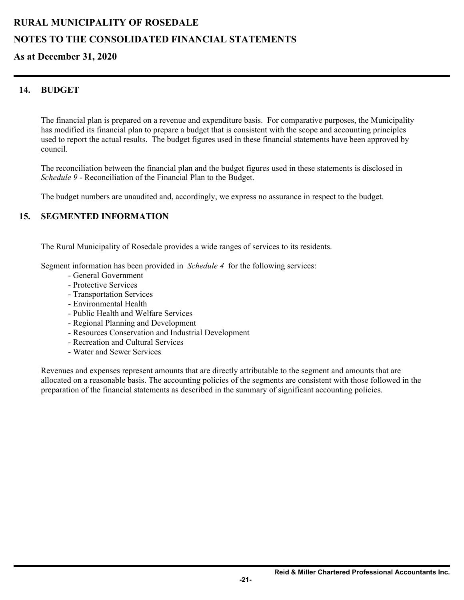#### **As at December 31, 2020**

#### **14. BUDGET**

The financial plan is prepared on a revenue and expenditure basis. For comparative purposes, the Municipality has modified its financial plan to prepare a budget that is consistent with the scope and accounting principles used to report the actual results. The budget figures used in these financial statements have been approved by council.

The reconciliation between the financial plan and the budget figures used in these statements is disclosed in *Schedule 9* - Reconciliation of the Financial Plan to the Budget.

The budget numbers are unaudited and, accordingly, we express no assurance in respect to the budget.

#### **15. SEGMENTED INFORMATION**

The Rural Municipality of Rosedale provides a wide ranges of services to its residents.

Segment information has been provided in *Schedule 4* for the following services:

- General Government
- Protective Services
- Transportation Services
- Environmental Health
- Public Health and Welfare Services
- Regional Planning and Development
- Resources Conservation and Industrial Development
- Recreation and Cultural Services
- Water and Sewer Services

Revenues and expenses represent amounts that are directly attributable to the segment and amounts that are allocated on a reasonable basis. The accounting policies of the segments are consistent with those followed in the preparation of the financial statements as described in the summary of significant accounting policies.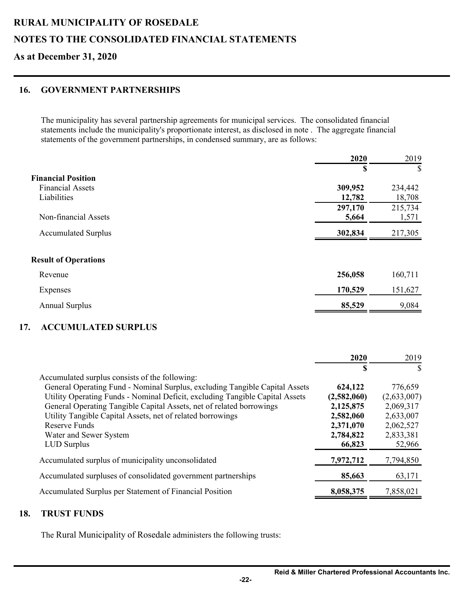### **NOTES TO THE CONSOLIDATED FINANCIAL STATEMENTS**

**As at December 31, 2020**

#### **16. GOVERNMENT PARTNERSHIPS**

The municipality has several partnership agreements for municipal services. The consolidated financial statements include the municipality's proportionate interest, as disclosed in note . The aggregate financial statements of the government partnerships, in condensed summary, are as follows:

|                             | 2020    | 2019    |
|-----------------------------|---------|---------|
|                             | \$      | \$      |
| <b>Financial Position</b>   |         |         |
| <b>Financial Assets</b>     | 309,952 | 234,442 |
| Liabilities                 | 12,782  | 18,708  |
|                             | 297,170 | 215,734 |
| Non-financial Assets        | 5,664   | 1,571   |
| <b>Accumulated Surplus</b>  | 302,834 | 217,305 |
|                             |         |         |
| <b>Result of Operations</b> |         |         |
| Revenue                     | 256,058 | 160,711 |
| Expenses                    | 170,529 | 151,627 |
| <b>Annual Surplus</b>       | 85,529  | 9,084   |

#### **17. ACCUMULATED SURPLUS**

|                                                                              | 2020        | 2019        |
|------------------------------------------------------------------------------|-------------|-------------|
|                                                                              | \$          |             |
| Accumulated surplus consists of the following:                               |             |             |
| General Operating Fund - Nominal Surplus, excluding Tangible Capital Assets  | 624,122     | 776,659     |
| Utility Operating Funds - Nominal Deficit, excluding Tangible Capital Assets | (2,582,060) | (2,633,007) |
| General Operating Tangible Capital Assets, net of related borrowings         | 2,125,875   | 2,069,317   |
| Utility Tangible Capital Assets, net of related borrowings                   | 2,582,060   | 2,633,007   |
| Reserve Funds                                                                | 2,371,070   | 2,062,527   |
| Water and Sewer System                                                       | 2,784,822   | 2,833,381   |
| LUD Surplus                                                                  | 66,823      | 52,966      |
| Accumulated surplus of municipality unconsolidated                           | 7,972,712   | 7,794,850   |
| Accumulated surpluses of consolidated government partnerships                | 85,663      | 63,171      |
| Accumulated Surplus per Statement of Financial Position                      | 8,058,375   | 7,858,021   |

#### **18. TRUST FUNDS**

The Rural Municipality of Rosedale administers the following trusts: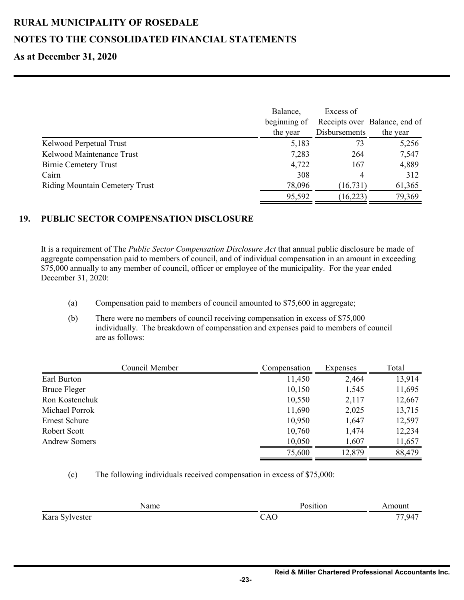### **As at December 31, 2020**

|                                       | Balance,<br>beginning of<br>the year | Excess of<br><b>Disbursements</b> | Receipts over Balance, end of<br>the year |
|---------------------------------------|--------------------------------------|-----------------------------------|-------------------------------------------|
| Kelwood Perpetual Trust               | 5,183                                | 73                                | 5,256                                     |
| Kelwood Maintenance Trust             | 7,283                                | 264                               | 7,547                                     |
| <b>Birnie Cemetery Trust</b>          | 4,722                                | 167                               | 4,889                                     |
| Cairn                                 | 308                                  | 4                                 | 312                                       |
| <b>Riding Mountain Cemetery Trust</b> | 78,096                               | (16, 731)                         | 61,365                                    |
|                                       | 95,592                               | (16, 223)                         | 79,369                                    |

#### **19. PUBLIC SECTOR COMPENSATION DISCLOSURE**

It is a requirement of The *Public Sector Compensation Disclosure Act* that annual public disclosure be made of aggregate compensation paid to members of council, and of individual compensation in an amount in exceeding \$75,000 annually to any member of council, officer or employee of the municipality. For the year ended December 31, 2020:

- (a) Compensation paid to members of council amounted to \$75,600 in aggregate;
- (b) There were no members of council receiving compensation in excess of \$75,000 individually. The breakdown of compensation and expenses paid to members of council are as follows:

| Council Member       | Compensation | Expenses | Total  |
|----------------------|--------------|----------|--------|
| Earl Burton          | 11,450       | 2,464    | 13,914 |
| <b>Bruce Fleger</b>  | 10,150       | 1,545    | 11,695 |
| Ron Kostenchuk       | 10,550       | 2,117    | 12,667 |
| Michael Porrok       | 11,690       | 2,025    | 13,715 |
| Ernest Schure        | 10,950       | 1,647    | 12,597 |
| Robert Scott         | 10,760       | 1,474    | 12,234 |
| <b>Andrew Somers</b> | 10,050       | 1,607    | 11,657 |
|                      | 75,600       | 12,879   | 88,479 |

(c) The following individuals received compensation in excess of \$75,000:

| Name      | 'OS1t1011 | $\sim$ $\sim$ $\sim$ $\sim$ |
|-----------|-----------|-----------------------------|
| Kara S    | $\Delta'$ | 0.947                       |
| Sylvester |           | 77                          |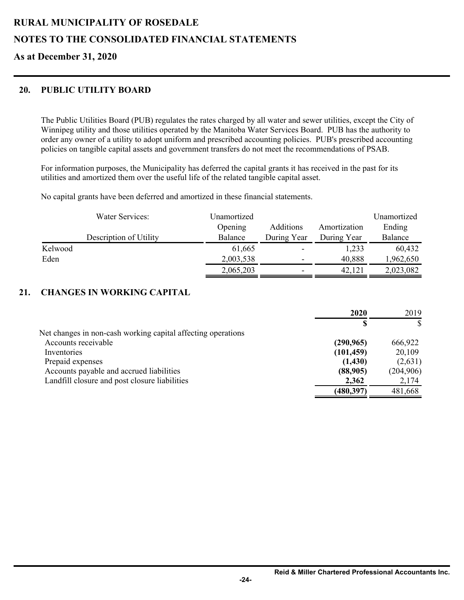### **NOTES TO THE CONSOLIDATED FINANCIAL STATEMENTS**

**As at December 31, 2020**

#### **20. PUBLIC UTILITY BOARD**

The Public Utilities Board (PUB) regulates the rates charged by all water and sewer utilities, except the City of Winnipeg utility and those utilities operated by the Manitoba Water Services Board. PUB has the authority to order any owner of a utility to adopt uniform and prescribed accounting policies. PUB's prescribed accounting policies on tangible capital assets and government transfers do not meet the recommendations of PSAB.

For information purposes, the Municipality has deferred the capital grants it has received in the past for its utilities and amortized them over the useful life of the related tangible capital asset.

No capital grants have been deferred and amortized in these financial statements.

|         | Water Services:        | Unamortized |             |              | Unamortized |
|---------|------------------------|-------------|-------------|--------------|-------------|
|         |                        | Opening     | Additions   | Amortization | Ending      |
|         | Description of Utility | Balance     | During Year | During Year  | Balance     |
| Kelwood |                        | 61,665      | ۰           | 1,233        | 60,432      |
| Eden    |                        | 2,003,538   | ۰           | 40,888       | 1,962,650   |
|         |                        | 2,065,203   | ۰           | 42,121       | 2,023,082   |

#### **21. CHANGES IN WORKING CAPITAL**

|                                                              | 2020       | 2019       |
|--------------------------------------------------------------|------------|------------|
|                                                              |            |            |
| Net changes in non-cash working capital affecting operations |            |            |
| Accounts receivable                                          | (290, 965) | 666,922    |
| Inventories                                                  | (101, 459) | 20,109     |
| Prepaid expenses                                             | (1,430)    | (2,631)    |
| Accounts payable and accrued liabilities                     | (88,905)   | (204, 906) |
| Landfill closure and post closure liabilities                | 2,362      | 2,174      |
|                                                              | (480,397)  | 481,668    |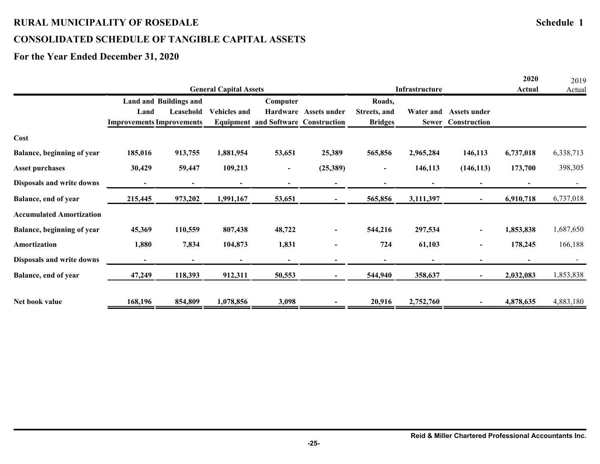# **CONSOLIDATED SCHEDULE OF TANGIBLE CAPITAL ASSETS**

|                                 |                          |                                  |                               |                                            |                       |                       |              |                     | 2020      | 2019      |
|---------------------------------|--------------------------|----------------------------------|-------------------------------|--------------------------------------------|-----------------------|-----------------------|--------------|---------------------|-----------|-----------|
|                                 |                          |                                  | <b>General Capital Assets</b> |                                            |                       | <b>Infrastructure</b> |              |                     | Actual    | Actual    |
|                                 |                          | <b>Land and Buildings and</b>    |                               | Computer                                   |                       | Roads,                |              |                     |           |           |
|                                 | Land                     | Leasehold                        | <b>Vehicles and</b>           |                                            | Hardware Assets under | Streets, and          | Water and    | <b>Assets under</b> |           |           |
|                                 |                          | <b>Improvements Improvements</b> |                               | <b>Equipment and Software Construction</b> |                       | <b>Bridges</b>        | <b>Sewer</b> | Construction        |           |           |
| Cost                            |                          |                                  |                               |                                            |                       |                       |              |                     |           |           |
| Balance, beginning of year      | 185,016                  | 913,755                          | 1,881,954                     | 53,651                                     | 25,389                | 565,856               | 2,965,284    | 146,113             | 6,737,018 | 6,338,713 |
| <b>Asset purchases</b>          | 30,429                   | 59,447                           | 109,213                       | $\overline{\phantom{a}}$                   | (25,389)              | $\blacksquare$        | 146,113      | (146, 113)          | 173,700   | 398,305   |
| Disposals and write downs       |                          |                                  |                               |                                            |                       |                       |              |                     |           |           |
| Balance, end of year            | 215,445                  | 973,202                          | 1,991,167                     | 53,651                                     |                       | 565,856               | 3,111,397    |                     | 6,910,718 | 6,737,018 |
| <b>Accumulated Amortization</b> |                          |                                  |                               |                                            |                       |                       |              |                     |           |           |
| Balance, beginning of year      | 45,369                   | 110,559                          | 807,438                       | 48,722                                     | $\blacksquare$        | 544,216               | 297,534      |                     | 1,853,838 | 1,687,650 |
| Amortization                    | 1,880                    | 7,834                            | 104,873                       | 1,831                                      |                       | 724                   | 61,103       |                     | 178,245   | 166,188   |
| Disposals and write downs       | $\overline{\phantom{0}}$ | $\overline{\phantom{a}}$         | $\blacksquare$                | $\overline{\phantom{a}}$                   |                       |                       |              |                     |           |           |
| Balance, end of year            | 47,249                   | 118,393                          | 912,311                       | 50,553                                     | $\blacksquare$        | 544,940               | 358,637      |                     | 2,032,083 | 1,853,838 |
|                                 |                          |                                  |                               |                                            |                       |                       |              |                     |           |           |
| Net book value                  | 168,196                  | 854,809                          | 1,078,856                     | 3,098                                      |                       | 20,916                | 2,752,760    |                     | 4,878,635 | 4,883,180 |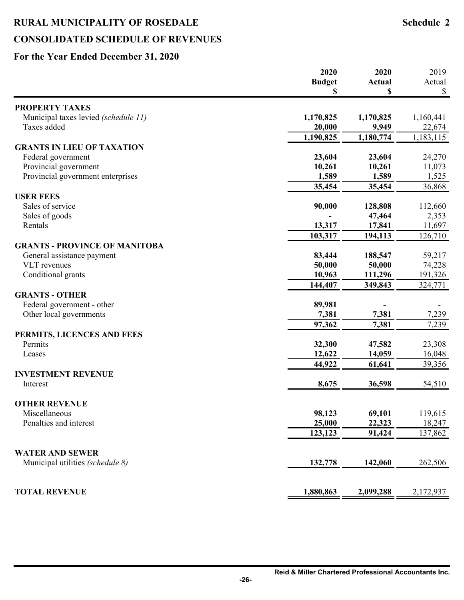# **CONSOLIDATED SCHEDULE OF REVENUES**

|                                      | 2020          | 2020          | 2019      |
|--------------------------------------|---------------|---------------|-----------|
|                                      | <b>Budget</b> | <b>Actual</b> | Actual    |
|                                      | \$            | \$            | \$        |
| <b>PROPERTY TAXES</b>                |               |               |           |
| Municipal taxes levied (schedule 11) | 1,170,825     | 1,170,825     | 1,160,441 |
| Taxes added                          | 20,000        | 9,949         | 22,674    |
|                                      | 1,190,825     | 1,180,774     | 1,183,115 |
| <b>GRANTS IN LIEU OF TAXATION</b>    |               |               |           |
| Federal government                   | 23,604        | 23,604        | 24,270    |
| Provincial government                | 10,261        | 10,261        | 11,073    |
| Provincial government enterprises    | 1,589         | 1,589         | 1,525     |
|                                      | 35,454        | 35,454        | 36,868    |
| <b>USER FEES</b>                     |               |               |           |
| Sales of service                     | 90,000        | 128,808       | 112,660   |
| Sales of goods                       |               | 47,464        | 2,353     |
| Rentals                              | 13,317        | 17,841        | 11,697    |
|                                      | 103,317       | 194,113       | 126,710   |
| <b>GRANTS - PROVINCE OF MANITOBA</b> |               |               |           |
| General assistance payment           | 83,444        | 188,547       | 59,217    |
| <b>VLT</b> revenues                  | 50,000        | 50,000        | 74,228    |
| Conditional grants                   | 10,963        | 111,296       | 191,326   |
|                                      | 144,407       | 349,843       | 324,771   |
| <b>GRANTS - OTHER</b>                |               |               |           |
| Federal government - other           | 89,981        |               |           |
| Other local governments              | 7,381         | 7,381         | 7,239     |
|                                      | 97,362        | 7,381         | 7,239     |
| PERMITS, LICENCES AND FEES           |               |               |           |
| Permits                              | 32,300        | 47,582        | 23,308    |
| Leases                               | 12,622        | 14,059        | 16,048    |
|                                      | 44,922        | 61,641        | 39,356    |
| <b>INVESTMENT REVENUE</b>            |               |               |           |
| Interest                             | 8,675         | 36,598        | 54,510    |
|                                      |               |               |           |
| <b>OTHER REVENUE</b>                 |               |               |           |
| Miscellaneous                        | 98,123        | 69,101        | 119,615   |
| Penalties and interest               | 25,000        | 22,323        | 18,247    |
|                                      | 123,123       | 91,424        | 137,862   |
|                                      |               |               |           |
| <b>WATER AND SEWER</b>               |               |               |           |
| Municipal utilities (schedule 8)     | 132,778       | 142,060       | 262,506   |
|                                      |               |               |           |
|                                      |               |               |           |
| <b>TOTAL REVENUE</b>                 | 1,880,863     | 2,099,288     | 2,172,937 |
|                                      |               |               |           |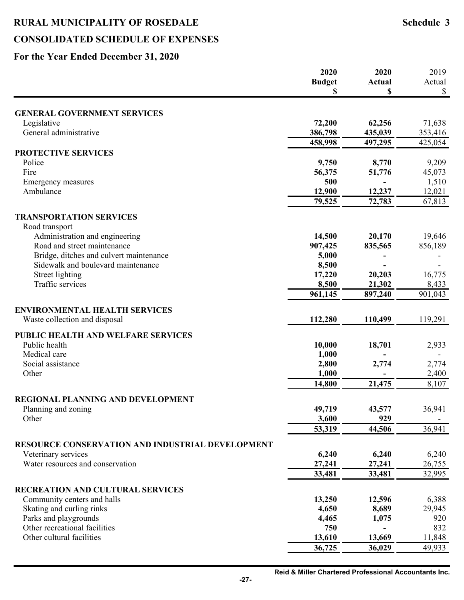# **CONSOLIDATED SCHEDULE OF EXPENSES**

|                                                  | 2020          | 2020          | 2019            |
|--------------------------------------------------|---------------|---------------|-----------------|
|                                                  | <b>Budget</b> | <b>Actual</b> | Actual          |
|                                                  | \$            | \$            | \$              |
| <b>GENERAL GOVERNMENT SERVICES</b>               |               |               |                 |
| Legislative                                      | 72,200        | 62,256        | 71,638          |
| General administrative                           | 386,798       | 435,039       | 353,416         |
|                                                  |               |               |                 |
|                                                  | 458,998       | 497,295       | 425,054         |
| PROTECTIVE SERVICES                              |               |               |                 |
| Police                                           | 9,750         | 8,770         | 9,209           |
| Fire                                             | 56,375        | 51,776        | 45,073          |
| <b>Emergency measures</b>                        | 500           |               | 1,510           |
| Ambulance                                        | 12,900        | 12,237        | 12,021          |
|                                                  | 79,525        | 72,783        | 67,813          |
| <b>TRANSPORTATION SERVICES</b>                   |               |               |                 |
| Road transport                                   |               |               |                 |
| Administration and engineering                   | 14,500        | 20,170        | 19,646          |
| Road and street maintenance                      | 907,425       | 835,565       | 856,189         |
| Bridge, ditches and culvert maintenance          | 5,000         |               |                 |
| Sidewalk and boulevard maintenance               | 8,500         |               |                 |
| <b>Street lighting</b>                           | 17,220        | 20,203        | 16,775          |
| Traffic services                                 | 8,500         | 21,302        | 8,433           |
|                                                  | 961,145       | 897,240       | 901,043         |
|                                                  |               |               |                 |
| <b>ENVIRONMENTAL HEALTH SERVICES</b>             |               |               |                 |
| Waste collection and disposal                    | 112,280       | 110,499       | 119,291         |
| PUBLIC HEALTH AND WELFARE SERVICES               |               |               |                 |
| Public health                                    | 10,000        | 18,701        | 2,933           |
| Medical care                                     | 1,000         |               |                 |
| Social assistance                                | 2,800         | 2,774         | 2,774           |
| Other                                            | 1,000         |               | 2,400           |
|                                                  | 14,800        | 21,475        | 8,107           |
|                                                  |               |               |                 |
| REGIONAL PLANNING AND DEVELOPMENT                |               |               |                 |
| Planning and zoning                              | 49,719        | 43,577        | 36,941          |
| Other                                            | 3,600         | 929           |                 |
|                                                  | 53,319        | 44,506        | 36,941          |
| RESOURCE CONSERVATION AND INDUSTRIAL DEVELOPMENT |               |               |                 |
| Veterinary services                              | 6,240         | 6,240         |                 |
| Water resources and conservation                 | 27,241        | 27,241        | 6,240<br>26,755 |
|                                                  |               |               |                 |
|                                                  | 33,481        | 33,481        | 32,995          |
| RECREATION AND CULTURAL SERVICES                 |               |               |                 |
| Community centers and halls                      | 13,250        | 12,596        | 6,388           |
| Skating and curling rinks                        | 4,650         | 8,689         | 29,945          |
| Parks and playgrounds                            | 4,465         | 1,075         | 920             |
| Other recreational facilities                    | 750           |               | 832             |
| Other cultural facilities                        | 13,610        | 13,669        | 11,848          |
|                                                  | 36,725        | 36,029        | 49,933          |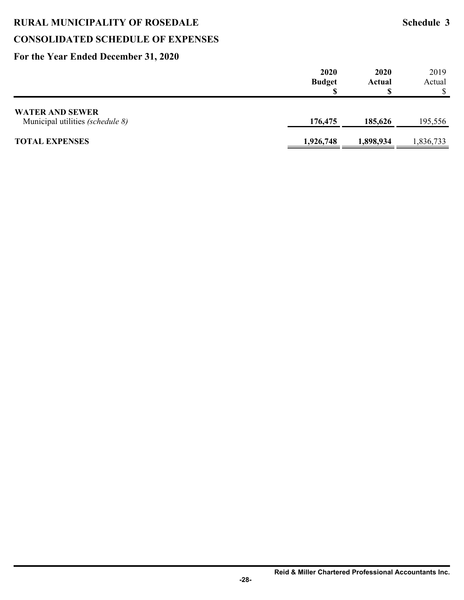# **RURAL MUNICIPALITY OF ROSEDALE Schedule 3 CONSOLIDATED SCHEDULE OF EXPENSES**

|                                                            | 2020<br><b>Budget</b> | 2020<br>Actual | 2019<br>Actual |
|------------------------------------------------------------|-----------------------|----------------|----------------|
| <b>WATER AND SEWER</b><br>Municipal utilities (schedule 8) | 176,475               | 185,626        | 195,556        |
| <b>TOTAL EXPENSES</b>                                      | 1,926,748             | 1,898,934      | 1,836,733      |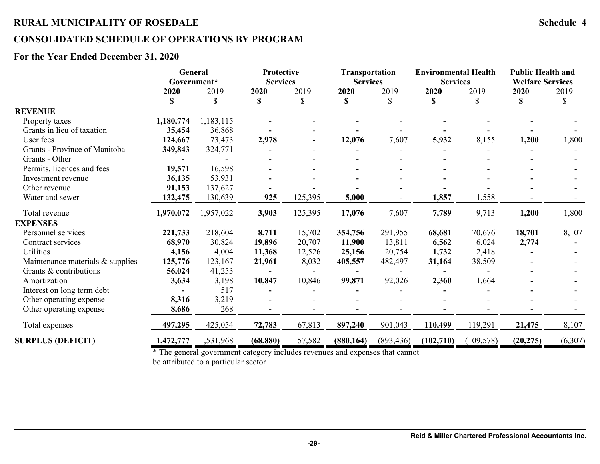### **CONSOLIDATED SCHEDULE OF OPERATIONS BY PROGRAM**

#### **For the Year Ended December 31, 2020**

|                                  | General<br>Government* |            |            | Protective<br><b>Transportation</b><br><b>Services</b><br><b>Services</b> |            | <b>Environmental Health</b><br><b>Services</b> |            | <b>Public Health and</b><br><b>Welfare Services</b> |            |            |
|----------------------------------|------------------------|------------|------------|---------------------------------------------------------------------------|------------|------------------------------------------------|------------|-----------------------------------------------------|------------|------------|
|                                  | 2020<br>\$             | 2019<br>\$ | 2020<br>\$ | 2019<br>\$                                                                | 2020<br>\$ | 2019<br>\$                                     | 2020<br>\$ | 2019<br>$\mathcal{S}$                               | 2020<br>\$ | 2019<br>\$ |
| <b>REVENUE</b>                   |                        |            |            |                                                                           |            |                                                |            |                                                     |            |            |
| Property taxes                   | 1,180,774              | 1,183,115  |            |                                                                           |            |                                                |            |                                                     |            |            |
| Grants in lieu of taxation       | 35,454                 | 36,868     |            |                                                                           |            |                                                |            |                                                     |            |            |
| User fees                        | 124,667                | 73,473     | 2,978      |                                                                           | 12,076     | 7,607                                          | 5,932      | 8,155                                               | 1,200      | 1,800      |
| Grants - Province of Manitoba    | 349,843                | 324,771    |            |                                                                           |            |                                                |            |                                                     |            |            |
| Grants - Other                   |                        |            |            |                                                                           |            |                                                |            |                                                     |            |            |
| Permits, licences and fees       | 19,571                 | 16,598     |            |                                                                           |            |                                                |            |                                                     |            |            |
| Investment revenue               | 36,135                 | 53,931     |            |                                                                           |            |                                                |            |                                                     |            |            |
| Other revenue                    | 91,153                 | 137,627    |            |                                                                           |            |                                                |            |                                                     |            |            |
| Water and sewer                  | 132,475                | 130,639    | 925        | 125,395                                                                   | 5,000      |                                                | 1,857      | 1,558                                               |            |            |
| Total revenue                    | 1,970,072              | 1,957,022  | 3,903      | 125,395                                                                   | 17,076     | 7,607                                          | 7,789      | 9,713                                               | 1,200      | 1,800      |
| <b>EXPENSES</b>                  |                        |            |            |                                                                           |            |                                                |            |                                                     |            |            |
| Personnel services               | 221,733                | 218,604    | 8,711      | 15,702                                                                    | 354,756    | 291,955                                        | 68,681     | 70,676                                              | 18,701     | 8,107      |
| Contract services                | 68,970                 | 30,824     | 19,896     | 20,707                                                                    | 11,900     | 13,811                                         | 6,562      | 6,024                                               | 2,774      |            |
| Utilities                        | 4,156                  | 4,004      | 11,368     | 12,526                                                                    | 25,156     | 20,754                                         | 1,732      | 2,418                                               |            |            |
| Maintenance materials & supplies | 125,776                | 123,167    | 21,961     | 8,032                                                                     | 405,557    | 482,497                                        | 31,164     | 38,509                                              |            |            |
| Grants & contributions           | 56,024                 | 41,253     |            |                                                                           |            |                                                |            |                                                     |            |            |
| Amortization                     | 3,634                  | 3,198      | 10,847     | 10,846                                                                    | 99,871     | 92,026                                         | 2,360      | 1,664                                               |            |            |
| Interest on long term debt       |                        | 517        |            |                                                                           |            |                                                |            |                                                     |            |            |
| Other operating expense          | 8,316                  | 3,219      |            |                                                                           |            |                                                |            |                                                     |            |            |
| Other operating expense          | 8,686                  | 268        |            |                                                                           |            |                                                |            |                                                     |            |            |
| Total expenses                   | 497,295                | 425,054    | 72,783     | 67,813                                                                    | 897,240    | 901,043                                        | 110,499    | 119,291                                             | 21,475     | 8,107      |
| <b>SURPLUS (DEFICIT)</b>         | 1,472,777              | 1,531,968  | (68, 880)  | 57,582                                                                    | (880, 164) | (893, 436)                                     | (102, 710) | (109, 578)                                          | (20, 275)  | (6, 307)   |

\* The general government category includes revenues and expenses that cannot be attributed to a particular sector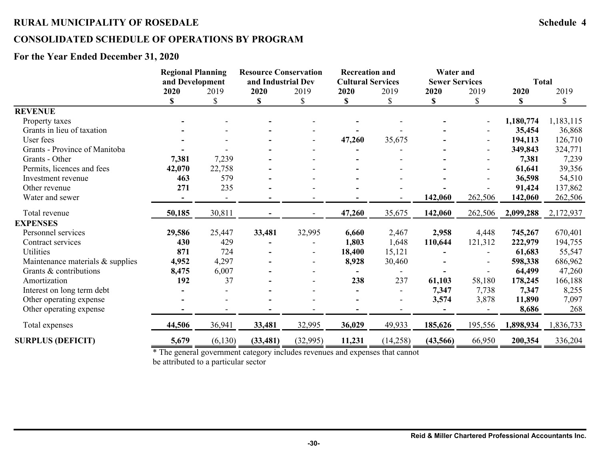### **CONSOLIDATED SCHEDULE OF OPERATIONS BY PROGRAM**

#### **For the Year Ended December 31, 2020**

|                                  | <b>Regional Planning</b> |          | <b>Resource Conservation</b><br>and Industrial Dev |          | <b>Recreation and</b>    |                          | <b>Water and</b>      |         |           |              |
|----------------------------------|--------------------------|----------|----------------------------------------------------|----------|--------------------------|--------------------------|-----------------------|---------|-----------|--------------|
|                                  | and Development          |          |                                                    |          | <b>Cultural Services</b> |                          | <b>Sewer Services</b> |         |           | <b>Total</b> |
|                                  | 2020                     | 2019     | 2020                                               | 2019     | 2020                     | 2019                     | 2020                  | 2019    | 2020      | 2019         |
|                                  | \$                       | \$       | \$                                                 | \$       | \$                       | \$                       | \$                    | \$      | \$        | \$           |
| <b>REVENUE</b>                   |                          |          |                                                    |          |                          |                          |                       |         |           |              |
| Property taxes                   |                          |          |                                                    |          |                          |                          |                       |         | 1,180,774 | 1,183,115    |
| Grants in lieu of taxation       |                          |          |                                                    |          |                          |                          |                       |         | 35,454    | 36,868       |
| User fees                        |                          |          |                                                    |          | 47,260                   | 35,675                   |                       |         | 194,113   | 126,710      |
| Grants - Province of Manitoba    |                          |          |                                                    |          |                          |                          |                       |         | 349,843   | 324,771      |
| Grants - Other                   | 7,381                    | 7,239    |                                                    |          |                          |                          |                       |         | 7,381     | 7,239        |
| Permits, licences and fees       | 42,070                   | 22,758   |                                                    |          |                          |                          |                       |         | 61,641    | 39,356       |
| Investment revenue               | 463                      | 579      |                                                    |          |                          |                          |                       |         | 36,598    | 54,510       |
| Other revenue                    | 271                      | 235      |                                                    |          |                          |                          |                       |         | 91,424    | 137,862      |
| Water and sewer                  |                          |          |                                                    |          |                          |                          | 142,060               | 262,506 | 142,060   | 262,506      |
| Total revenue                    | 50,185                   | 30,811   |                                                    |          | 47,260                   | 35,675                   | 142,060               | 262,506 | 2,099,288 | 2,172,937    |
| <b>EXPENSES</b>                  |                          |          |                                                    |          |                          |                          |                       |         |           |              |
| Personnel services               | 29,586                   | 25,447   | 33,481                                             | 32,995   | 6,660                    | 2,467                    | 2,958                 | 4,448   | 745,267   | 670,401      |
| Contract services                | 430                      | 429      |                                                    |          | 1,803                    | 1,648                    | 110,644               | 121,312 | 222,979   | 194,755      |
| <b>Utilities</b>                 | 871                      | 724      |                                                    |          | 18,400                   | 15,121                   |                       |         | 61,683    | 55,547       |
| Maintenance materials & supplies | 4,952                    | 4,297    |                                                    |          | 8,928                    | 30,460                   |                       |         | 598,338   | 686,962      |
| Grants & contributions           | 8,475                    | 6,007    |                                                    |          |                          | $\overline{\phantom{a}}$ |                       |         | 64,499    | 47,260       |
| Amortization                     | 192                      | 37       |                                                    |          | 238                      | 237                      | 61,103                | 58,180  | 178,245   | 166,188      |
| Interest on long term debt       |                          |          |                                                    |          |                          | $\overline{\phantom{a}}$ | 7,347                 | 7,738   | 7,347     | 8,255        |
| Other operating expense          |                          |          |                                                    |          |                          |                          | 3,574                 | 3,878   | 11,890    | 7,097        |
| Other operating expense          |                          |          |                                                    |          |                          |                          |                       |         | 8,686     | 268          |
| Total expenses                   | 44,506                   | 36,941   | 33,481                                             | 32,995   | 36,029                   | 49,933                   | 185,626               | 195,556 | 1,898,934 | 1,836,733    |
| <b>SURPLUS (DEFICIT)</b>         | 5,679                    | (6, 130) | (33, 481)                                          | (32,995) | 11,231                   | (14,258)                 | (43, 566)             | 66,950  | 200,354   | 336,204      |

\* The general government category includes revenues and expenses that cannot be attributed to a particular sector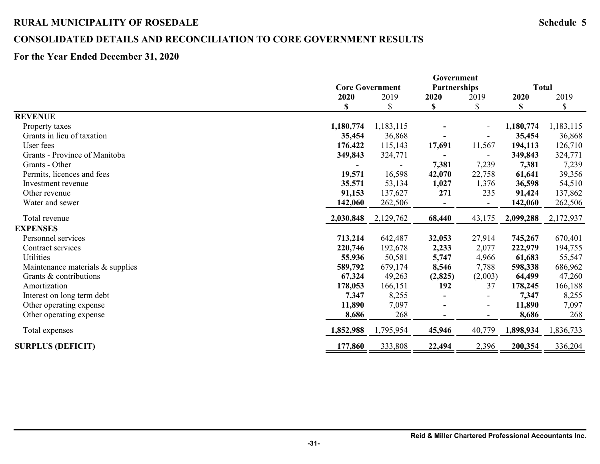# **CONSOLIDATED DETAILS AND RECONCILIATION TO CORE GOVERNMENT RESULTS**

|                                  |           | Government             |                     |                          |              |           |
|----------------------------------|-----------|------------------------|---------------------|--------------------------|--------------|-----------|
|                                  |           | <b>Core Government</b> | <b>Partnerships</b> |                          | <b>Total</b> |           |
|                                  | 2020      | 2019                   | 2020                | 2019                     | 2020         | 2019      |
|                                  | \$        | \$                     | \$                  | \$                       | \$           | \$        |
| <b>REVENUE</b>                   |           |                        |                     |                          |              |           |
| Property taxes                   | 1,180,774 | 1,183,115              |                     |                          | 1,180,774    | 1,183,115 |
| Grants in lieu of taxation       | 35,454    | 36,868                 |                     | $\blacksquare$           | 35,454       | 36,868    |
| User fees                        | 176,422   | 115,143                | 17,691              | 11,567                   | 194,113      | 126,710   |
| Grants - Province of Manitoba    | 349,843   | 324,771                |                     |                          | 349,843      | 324,771   |
| Grants - Other                   |           |                        | 7,381               | 7,239                    | 7,381        | 7,239     |
| Permits, licences and fees       | 19,571    | 16,598                 | 42,070              | 22,758                   | 61,641       | 39,356    |
| Investment revenue               | 35,571    | 53,134                 | 1,027               | 1,376                    | 36,598       | 54,510    |
| Other revenue                    | 91,153    | 137,627                | 271                 | 235                      | 91,424       | 137,862   |
| Water and sewer                  | 142,060   | 262,506                |                     | $\overline{\phantom{a}}$ | 142,060      | 262,506   |
| Total revenue                    | 2,030,848 | 2,129,762              | 68,440              | 43,175                   | 2,099,288    | 2,172,937 |
| <b>EXPENSES</b>                  |           |                        |                     |                          |              |           |
| Personnel services               | 713,214   | 642,487                | 32,053              | 27,914                   | 745,267      | 670,401   |
| Contract services                | 220,746   | 192,678                | 2,233               | 2,077                    | 222,979      | 194,755   |
| Utilities                        | 55,936    | 50,581                 | 5,747               | 4,966                    | 61,683       | 55,547    |
| Maintenance materials & supplies | 589,792   | 679,174                | 8,546               | 7,788                    | 598,338      | 686,962   |
| Grants & contributions           | 67,324    | 49,263                 | (2,825)             | (2,003)                  | 64,499       | 47,260    |
| Amortization                     | 178,053   | 166,151                | 192                 | 37                       | 178,245      | 166,188   |
| Interest on long term debt       | 7,347     | 8,255                  |                     | $\blacksquare$           | 7,347        | 8,255     |
| Other operating expense          | 11,890    | 7,097                  |                     | $\overline{\phantom{a}}$ | 11,890       | 7,097     |
| Other operating expense          | 8,686     | 268                    |                     |                          | 8,686        | 268       |
| Total expenses                   | 1,852,988 | 1,795,954              | 45,946              | 40,779                   | 1,898,934    | 1,836,733 |
| <b>SURPLUS (DEFICIT)</b>         | 177,860   | 333,808                | 22,494              | 2,396                    | 200,354      | 336,204   |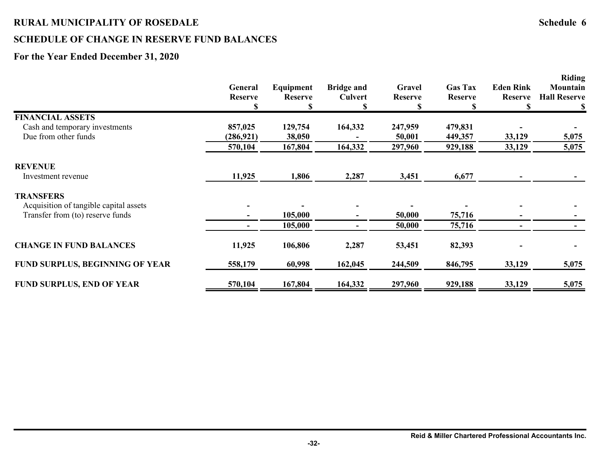# **SCHEDULE OF CHANGE IN RESERVE FUND BALANCES**

|                                        | General<br><b>Reserve</b> | Equipment<br><b>Reserve</b> | <b>Bridge and</b><br><b>Culvert</b><br>\$ | Gravel<br><b>Reserve</b> | <b>Gas Tax</b><br><b>Reserve</b><br>S | <b>Eden Rink</b><br><b>Reserve</b><br>S | <b>Riding</b><br>Mountain<br><b>Hall Reserve</b><br>S |
|----------------------------------------|---------------------------|-----------------------------|-------------------------------------------|--------------------------|---------------------------------------|-----------------------------------------|-------------------------------------------------------|
| <b>FINANCIAL ASSETS</b>                |                           |                             |                                           |                          |                                       |                                         |                                                       |
| Cash and temporary investments         | 857,025                   | 129,754                     | 164,332                                   | 247,959                  | 479,831                               |                                         |                                                       |
| Due from other funds                   | (286, 921)                | 38,050                      |                                           | 50,001                   | 449,357                               | 33,129                                  | 5,075                                                 |
|                                        | 570,104                   | 167,804                     | 164,332                                   | 297,960                  | 929,188                               | 33,129                                  | 5,075                                                 |
| <b>REVENUE</b>                         |                           |                             |                                           |                          |                                       |                                         |                                                       |
| Investment revenue                     | 11,925                    | 1,806                       | 2,287                                     | 3,451                    | 6,677                                 |                                         |                                                       |
| <b>TRANSFERS</b>                       |                           |                             |                                           |                          |                                       |                                         |                                                       |
| Acquisition of tangible capital assets |                           |                             |                                           |                          |                                       |                                         |                                                       |
| Transfer from (to) reserve funds       |                           | 105,000                     |                                           | 50,000                   | 75,716                                |                                         |                                                       |
|                                        |                           | 105,000                     |                                           | 50,000                   | 75,716                                |                                         |                                                       |
| <b>CHANGE IN FUND BALANCES</b>         | 11,925                    | 106,806                     | 2,287                                     | 53,451                   | 82,393                                |                                         |                                                       |
| FUND SURPLUS, BEGINNING OF YEAR        | 558,179                   | 60,998                      | 162,045                                   | 244,509                  | 846,795                               | 33,129                                  | 5,075                                                 |
| <b>FUND SURPLUS, END OF YEAR</b>       | 570,104                   | 167,804                     | 164,332                                   | 297,960                  | 929,188                               | 33,129                                  | 5,075                                                 |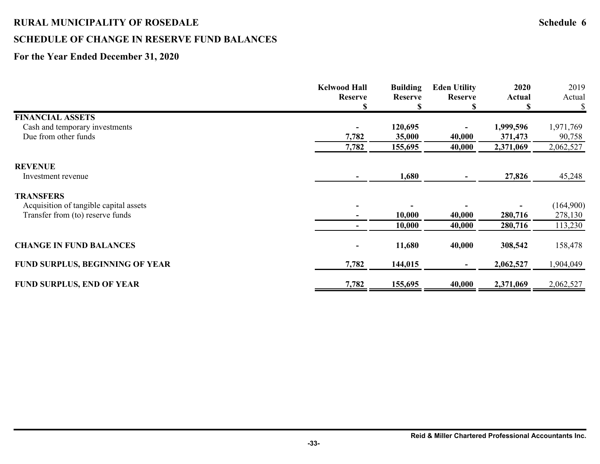# **SCHEDULE OF CHANGE IN RESERVE FUND BALANCES**

|                                        | <b>Kelwood Hall</b><br><b>Reserve</b> | <b>Building</b><br><b>Reserve</b> | <b>Eden Utility</b><br><b>Reserve</b> | 2020<br>Actual | 2019<br>Actual |
|----------------------------------------|---------------------------------------|-----------------------------------|---------------------------------------|----------------|----------------|
|                                        |                                       |                                   | S                                     | Э              | \$             |
| <b>FINANCIAL ASSETS</b>                |                                       |                                   |                                       |                |                |
| Cash and temporary investments         |                                       | 120,695                           |                                       | 1,999,596      | 1,971,769      |
| Due from other funds                   | 7,782                                 | 35,000                            | 40,000                                | 371,473        | 90,758         |
|                                        | 7,782                                 | 155,695                           | 40,000                                | 2,371,069      | 2,062,527      |
| <b>REVENUE</b>                         |                                       |                                   |                                       |                |                |
| Investment revenue                     |                                       | 1,680                             |                                       | 27,826         | 45,248         |
| <b>TRANSFERS</b>                       |                                       |                                   |                                       |                |                |
| Acquisition of tangible capital assets |                                       |                                   |                                       |                | (164,900)      |
| Transfer from (to) reserve funds       |                                       | 10,000                            | 40,000                                | 280,716        | 278,130        |
|                                        |                                       | 10,000                            | 40,000                                | 280,716        | 113,230        |
| <b>CHANGE IN FUND BALANCES</b>         |                                       | 11,680                            | 40,000                                | 308,542        | 158,478        |
| FUND SURPLUS, BEGINNING OF YEAR        | 7,782                                 | 144,015                           |                                       | 2,062,527      | 1,904,049      |
| <b>FUND SURPLUS, END OF YEAR</b>       | 7,782                                 | 155,695                           | 40,000                                | 2,371,069      | 2,062,527      |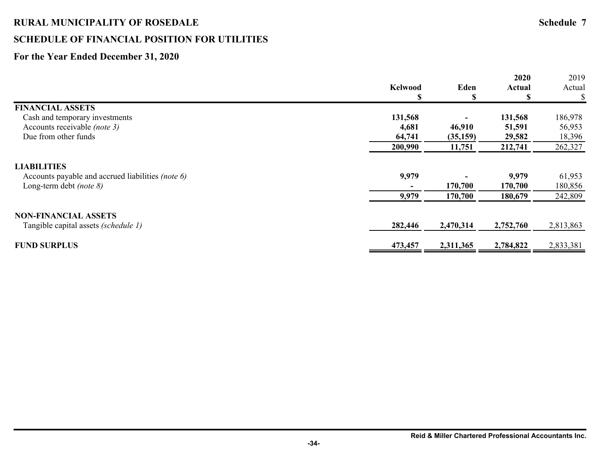# **SCHEDULE OF FINANCIAL POSITION FOR UTILITIES**

# **For the Year Ended December 31, 2020**

|                                                   | <b>Kelwood</b><br>S | Eden<br>ð. | 2020<br>Actual | 2019<br>Actual<br>S |
|---------------------------------------------------|---------------------|------------|----------------|---------------------|
| <b>FINANCIAL ASSETS</b>                           |                     |            |                |                     |
| Cash and temporary investments                    | 131,568             |            | 131,568        | 186,978             |
| Accounts receivable (note 3)                      | 4,681               | 46,910     | 51,591         | 56,953              |
| Due from other funds                              | 64,741              | (35, 159)  | 29,582         | 18,396              |
|                                                   | 200,990             | 11,751     | 212,741        | 262,327             |
| <b>LIABILITIES</b>                                |                     |            |                |                     |
| Accounts payable and accrued liabilities (note 6) | 9,979               |            | 9,979          | 61,953              |
| Long-term debt (note $8$ )                        |                     | 170,700    | 170,700        | 180,856             |
|                                                   | 9,979               | 170,700    | 180,679        | 242,809             |
| <b>NON-FINANCIAL ASSETS</b>                       |                     |            |                |                     |
| Tangible capital assets <i>(schedule 1)</i>       | 282,446             | 2,470,314  | 2,752,760      | 2,813,863           |
| <b>FUND SURPLUS</b>                               | 473,457             | 2,311,365  | 2,784,822      | 2,833,381           |
|                                                   |                     |            |                |                     |

**2020**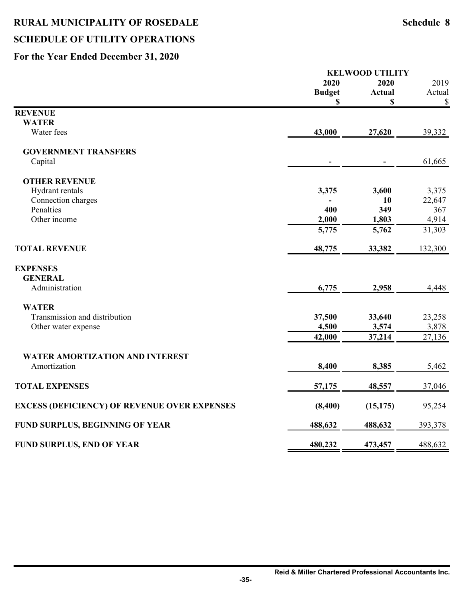# **RURAL MUNICIPALITY OF ROSEDALE Schedule 8 SCHEDULE OF UTILITY OPERATIONS**

|                                                     | <b>KELWOOD UTILITY</b> |               |         |  |  |
|-----------------------------------------------------|------------------------|---------------|---------|--|--|
|                                                     | 2020                   | 2020          | 2019    |  |  |
|                                                     | <b>Budget</b>          | <b>Actual</b> | Actual  |  |  |
|                                                     | \$                     | \$            | \$      |  |  |
| <b>REVENUE</b>                                      |                        |               |         |  |  |
| <b>WATER</b>                                        |                        |               |         |  |  |
| Water fees                                          | 43,000                 | 27,620        | 39,332  |  |  |
| <b>GOVERNMENT TRANSFERS</b>                         |                        |               |         |  |  |
| Capital                                             |                        |               | 61,665  |  |  |
| <b>OTHER REVENUE</b>                                |                        |               |         |  |  |
| Hydrant rentals                                     | 3,375                  | 3,600         | 3,375   |  |  |
| Connection charges                                  |                        | 10            | 22,647  |  |  |
| Penalties                                           | 400                    | 349           | 367     |  |  |
| Other income                                        | 2,000                  | 1,803         | 4,914   |  |  |
|                                                     | 5,775                  | 5,762         | 31,303  |  |  |
| <b>TOTAL REVENUE</b>                                | 48,775                 | 33,382        | 132,300 |  |  |
| <b>EXPENSES</b>                                     |                        |               |         |  |  |
| <b>GENERAL</b>                                      |                        |               |         |  |  |
| Administration                                      | 6,775                  | 2,958         | 4,448   |  |  |
| <b>WATER</b>                                        |                        |               |         |  |  |
| Transmission and distribution                       | 37,500                 | 33,640        | 23,258  |  |  |
| Other water expense                                 | 4,500                  | 3,574         | 3,878   |  |  |
|                                                     | 42,000                 | 37,214        | 27,136  |  |  |
| <b>WATER AMORTIZATION AND INTEREST</b>              |                        |               |         |  |  |
| Amortization                                        | 8,400                  | 8,385         | 5,462   |  |  |
| <b>TOTAL EXPENSES</b>                               | 57,175                 | 48,557        | 37,046  |  |  |
| <b>EXCESS (DEFICIENCY) OF REVENUE OVER EXPENSES</b> | (8,400)                | (15, 175)     | 95,254  |  |  |
| <b>FUND SURPLUS, BEGINNING OF YEAR</b>              | 488,632                | 488,632       | 393,378 |  |  |
|                                                     |                        |               |         |  |  |
| <b>FUND SURPLUS, END OF YEAR</b>                    | 480,232                | 473,457       | 488,632 |  |  |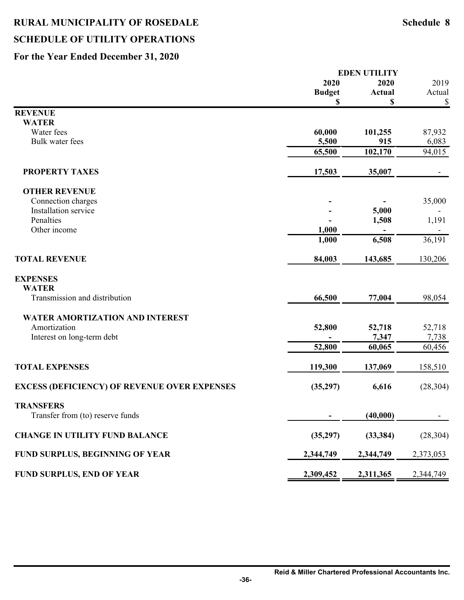# **RURAL MUNICIPALITY OF ROSEDALE Schedule 8 SCHEDULE OF UTILITY OPERATIONS**

# **For the Year Ended December 31, 2020**

|                                                     | <b>EDEN UTILITY</b> |           |           |  |
|-----------------------------------------------------|---------------------|-----------|-----------|--|
|                                                     | 2020                | 2020      | 2019      |  |
|                                                     | <b>Budget</b>       | Actual    | Actual    |  |
|                                                     | \$                  | \$        | \$        |  |
| <b>REVENUE</b>                                      |                     |           |           |  |
| <b>WATER</b>                                        |                     |           |           |  |
| Water fees                                          | 60,000              | 101,255   | 87,932    |  |
| Bulk water fees                                     | 5,500               | 915       | 6,083     |  |
|                                                     | 65,500              | 102,170   | 94,015    |  |
| PROPERTY TAXES                                      | 17,503              | 35,007    |           |  |
| <b>OTHER REVENUE</b>                                |                     |           |           |  |
| Connection charges                                  |                     |           | 35,000    |  |
| Installation service                                |                     | 5,000     |           |  |
| Penalties                                           |                     | 1,508     | 1,191     |  |
| Other income                                        | 1,000               |           |           |  |
|                                                     | 1,000               | 6,508     | 36,191    |  |
| <b>TOTAL REVENUE</b>                                | 84,003              | 143,685   | 130,206   |  |
| <b>EXPENSES</b>                                     |                     |           |           |  |
| <b>WATER</b>                                        |                     |           |           |  |
| Transmission and distribution                       | 66,500              | 77,004    | 98,054    |  |
| WATER AMORTIZATION AND INTEREST                     |                     |           |           |  |
| Amortization                                        | 52,800              | 52,718    | 52,718    |  |
| Interest on long-term debt                          |                     | 7,347     | 7,738     |  |
|                                                     | 52,800              | 60,065    | 60,456    |  |
| <b>TOTAL EXPENSES</b>                               | 119,300             | 137,069   | 158,510   |  |
| <b>EXCESS (DEFICIENCY) OF REVENUE OVER EXPENSES</b> | (35, 297)           | 6,616     | (28, 304) |  |
| TRANSFERS                                           |                     |           |           |  |
| Transfer from (to) reserve funds                    |                     | (40,000)  |           |  |
| <b>CHANGE IN UTILITY FUND BALANCE</b>               | (35,297)            | (33, 384) | (28, 304) |  |
| FUND SURPLUS, BEGINNING OF YEAR                     | 2,344,749           | 2,344,749 | 2,373,053 |  |
| FUND SURPLUS, END OF YEAR                           | 2,309,452           | 2,311,365 | 2,344,749 |  |

**-36-**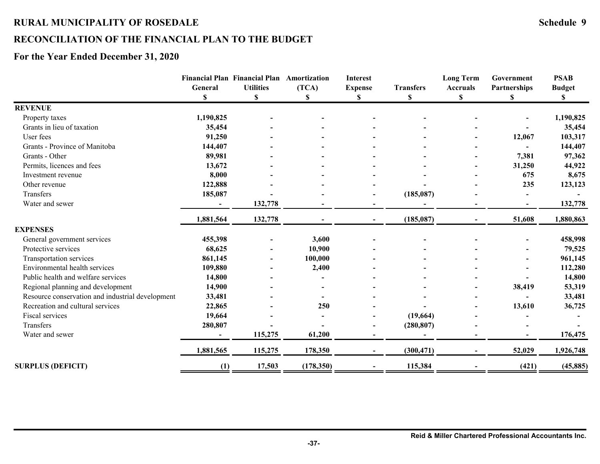# **RECONCILIATION OF THE FINANCIAL PLAN TO THE BUDGET**

|                                                  | General                   | <b>Financial Plan Financial Plan</b><br><b>Utilities</b> | Amortization<br>(TCA) | <b>Interest</b><br><b>Expense</b> | <b>Transfers</b> | <b>Long Term</b><br><b>Accruals</b> | Government<br>Partnerships | <b>PSAB</b><br><b>Budget</b> |
|--------------------------------------------------|---------------------------|----------------------------------------------------------|-----------------------|-----------------------------------|------------------|-------------------------------------|----------------------------|------------------------------|
|                                                  | $\boldsymbol{\mathsf{S}}$ | <b>S</b>                                                 | S                     | S                                 | \$               | $\mathbf S$                         | S                          | S                            |
| <b>REVENUE</b>                                   |                           |                                                          |                       |                                   |                  |                                     |                            |                              |
| Property taxes                                   | 1,190,825                 |                                                          |                       |                                   |                  |                                     |                            | 1,190,825                    |
| Grants in lieu of taxation                       | 35,454                    |                                                          |                       |                                   |                  |                                     |                            | 35,454                       |
| User fees                                        | 91,250                    |                                                          |                       |                                   |                  |                                     | 12,067                     | 103,317                      |
| Grants - Province of Manitoba                    | 144,407                   |                                                          |                       |                                   |                  |                                     |                            | 144,407                      |
| Grants - Other                                   | 89,981                    |                                                          |                       |                                   |                  |                                     | 7,381                      | 97,362                       |
| Permits, licences and fees                       | 13,672                    |                                                          |                       |                                   |                  |                                     | 31,250                     | 44,922                       |
| Investment revenue                               | 8,000                     |                                                          |                       |                                   |                  |                                     | 675                        | 8,675                        |
| Other revenue                                    | 122,888                   |                                                          |                       |                                   |                  |                                     | 235                        | 123,123                      |
| Transfers                                        | 185,087                   |                                                          |                       |                                   | (185,087)        |                                     |                            |                              |
| Water and sewer                                  |                           | 132,778                                                  |                       |                                   |                  |                                     |                            | 132,778                      |
|                                                  | 1,881,564                 | 132,778                                                  |                       |                                   | (185, 087)       |                                     | 51,608                     | 1,880,863                    |
| <b>EXPENSES</b>                                  |                           |                                                          |                       |                                   |                  |                                     |                            |                              |
| General government services                      | 455,398                   |                                                          | 3,600                 |                                   |                  |                                     |                            | 458,998                      |
| Protective services                              | 68,625                    |                                                          | 10,900                |                                   |                  |                                     |                            | 79,525                       |
| Transportation services                          | 861,145                   |                                                          | 100,000               |                                   |                  |                                     |                            | 961,145                      |
| Environmental health services                    | 109,880                   |                                                          | 2,400                 |                                   |                  |                                     |                            | 112,280                      |
| Public health and welfare services               | 14,800                    |                                                          |                       |                                   |                  |                                     |                            | 14,800                       |
| Regional planning and development                | 14,900                    |                                                          |                       |                                   |                  |                                     | 38,419                     | 53,319                       |
| Resource conservation and industrial development | 33,481                    |                                                          |                       |                                   |                  |                                     |                            | 33,481                       |
| Recreation and cultural services                 | 22,865                    |                                                          | 250                   |                                   |                  |                                     | 13,610                     | 36,725                       |
| Fiscal services                                  | 19,664                    |                                                          |                       |                                   | (19,664)         |                                     |                            |                              |
| Transfers                                        | 280,807                   |                                                          |                       |                                   | (280, 807)       |                                     |                            |                              |
| Water and sewer                                  |                           | 115,275                                                  | 61,200                |                                   |                  |                                     |                            | 176,475                      |
|                                                  | 1,881,565                 | 115,275                                                  | 178,350               |                                   | (300, 471)       |                                     | 52,029                     | 1,926,748                    |
| <b>SURPLUS (DEFICIT)</b>                         | (1)                       | 17,503                                                   | (178, 350)            |                                   | 115,384          |                                     | (421)                      | (45, 885)                    |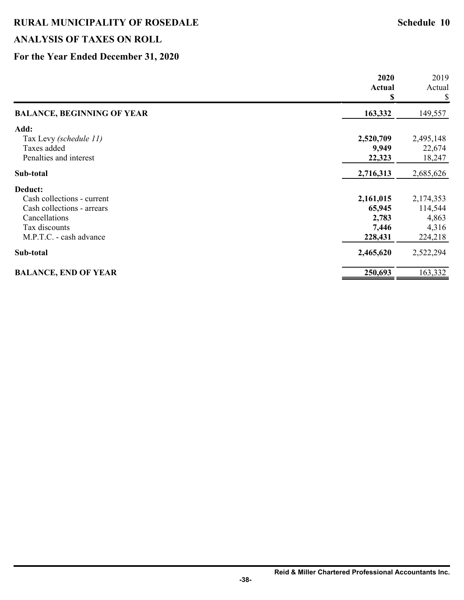# **ANALYSIS OF TAXES ON ROLL**

|                                   | 2020<br><b>Actual</b><br>\$ | 2019<br>Actual<br>\$ |  |
|-----------------------------------|-----------------------------|----------------------|--|
| <b>BALANCE, BEGINNING OF YEAR</b> | 163,332                     | 149,557              |  |
| Add:                              |                             |                      |  |
| Tax Levy (schedule 11)            | 2,520,709                   | 2,495,148            |  |
| Taxes added                       | 9,949                       | 22,674               |  |
| Penalties and interest            | 22,323                      | 18,247               |  |
| Sub-total                         | 2,716,313                   | 2,685,626            |  |
| Deduct:                           |                             |                      |  |
| Cash collections - current        | 2,161,015                   | 2,174,353            |  |
| Cash collections - arrears        | 65,945                      | 114,544              |  |
| Cancellations                     | 2,783                       | 4,863                |  |
| Tax discounts                     | 7,446                       | 4,316                |  |
| M.P.T.C. - cash advance           | 228,431                     | 224,218              |  |
| Sub-total                         | 2,465,620                   | 2,522,294            |  |
| <b>BALANCE, END OF YEAR</b>       | 250,693                     | 163,332              |  |
|                                   |                             |                      |  |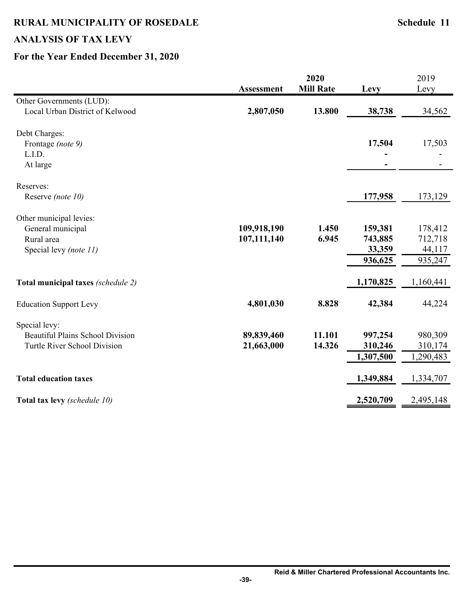# **ANALYSIS OF TAX LEVY**

|                                         |                   |                  | 2019      |           |
|-----------------------------------------|-------------------|------------------|-----------|-----------|
|                                         | <b>Assessment</b> | <b>Mill Rate</b> | Levy      | Levy      |
| Other Governments (LUD):                |                   |                  |           |           |
| Local Urban District of Kelwood         | 2,807,050         | 13.800           | 38,738    | 34,562    |
| Debt Charges:                           |                   |                  |           |           |
| Frontage (note 9)                       |                   |                  | 17,504    | 17,503    |
| L.I.D.                                  |                   |                  |           |           |
| At large                                |                   |                  |           |           |
| Reserves:                               |                   |                  |           |           |
| Reserve (note 10)                       |                   |                  | 177,958   | 173,129   |
| Other municipal levies:                 |                   |                  |           |           |
| General municipal                       | 109,918,190       | 1.450            | 159,381   | 178,412   |
| Rural area                              | 107,111,140       | 6.945            | 743,885   | 712,718   |
| Special levy (note 11)                  |                   |                  | 33,359    | 44,117    |
|                                         |                   |                  | 936,625   | 935,247   |
| Total municipal taxes (schedule 2)      |                   |                  | 1,170,825 | 1,160,441 |
| <b>Education Support Levy</b>           | 4,801,030         | 8.828            | 42,384    | 44,224    |
| Special levy:                           |                   |                  |           |           |
| <b>Beautiful Plains School Division</b> | 89,839,460        | 11.101           | 997,254   | 980,309   |
| Turtle River School Division            | 21,663,000        | 14.326           | 310,246   | 310,174   |
|                                         |                   |                  | 1,307,500 | 1,290,483 |
| <b>Total education taxes</b>            |                   |                  | 1,349,884 | 1,334,707 |
| Total tax levy (schedule 10)            |                   |                  | 2,520,709 | 2,495,148 |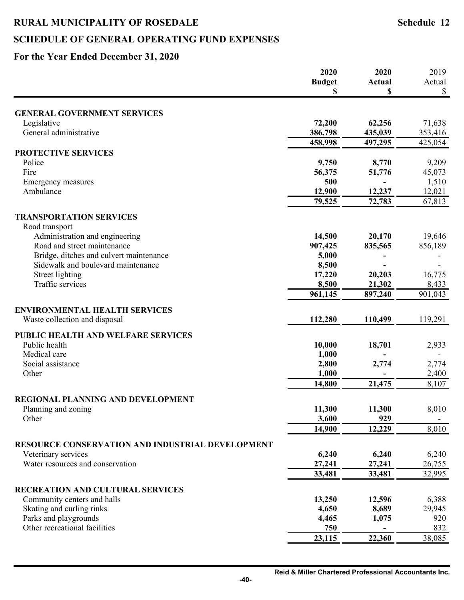# **SCHEDULE OF GENERAL OPERATING FUND EXPENSES**

|                                                  | 2020            | 2020          | 2019    |
|--------------------------------------------------|-----------------|---------------|---------|
|                                                  | <b>Budget</b>   | <b>Actual</b> | Actual  |
|                                                  | S               | \$            | \$      |
| <b>GENERAL GOVERNMENT SERVICES</b>               |                 |               |         |
| Legislative                                      | 72,200          | 62,256        | 71,638  |
| General administrative                           | 386,798         | 435,039       | 353,416 |
|                                                  | 458,998         | 497,295       | 425,054 |
| PROTECTIVE SERVICES                              |                 |               |         |
| Police                                           | 9,750           | 8,770         | 9,209   |
| Fire                                             | 56,375          | 51,776        | 45,073  |
| <b>Emergency measures</b>                        | 500             |               | 1,510   |
| Ambulance                                        | 12,900          | 12,237        | 12,021  |
|                                                  | 79,525          | 72,783        | 67,813  |
| <b>TRANSPORTATION SERVICES</b>                   |                 |               |         |
| Road transport                                   |                 |               |         |
| Administration and engineering                   | 14,500          | 20,170        | 19,646  |
| Road and street maintenance                      | 907,425         | 835,565       | 856,189 |
| Bridge, ditches and culvert maintenance          | 5,000           |               |         |
| Sidewalk and boulevard maintenance               | 8,500           |               |         |
| Street lighting                                  | 17,220          | 20,203        | 16,775  |
| Traffic services                                 | 8,500           | 21,302        | 8,433   |
|                                                  | 961,145         | 897,240       | 901,043 |
| <b>ENVIRONMENTAL HEALTH SERVICES</b>             |                 |               |         |
| Waste collection and disposal                    | 112,280         | 110,499       | 119,291 |
| PUBLIC HEALTH AND WELFARE SERVICES               |                 |               |         |
| Public health                                    | 10,000          | 18,701        | 2,933   |
| Medical care                                     | 1,000           |               |         |
| Social assistance                                | 2,800           | 2,774         | 2,774   |
| Other                                            | 1,000           |               | 2,400   |
|                                                  | 14,800          | 21,475        | 8,107   |
|                                                  |                 |               |         |
| REGIONAL PLANNING AND DEVELOPMENT                |                 |               |         |
| Planning and zoning                              | 11,300          | 11,300        | 8,010   |
| Other                                            | 3,600<br>14,900 | 929<br>12,229 | 8,010   |
|                                                  |                 |               |         |
| RESOURCE CONSERVATION AND INDUSTRIAL DEVELOPMENT |                 |               |         |
| Veterinary services                              | 6,240           | 6,240         | 6,240   |
| Water resources and conservation                 | 27,241          | 27,241        | 26,755  |
|                                                  | 33,481          | 33,481        | 32,995  |
| <b>RECREATION AND CULTURAL SERVICES</b>          |                 |               |         |
| Community centers and halls                      | 13,250          | 12,596        | 6,388   |
| Skating and curling rinks                        | 4,650           | 8,689         | 29,945  |
| Parks and playgrounds                            | 4,465           | 1,075         | 920     |
| Other recreational facilities                    | 750             |               | 832     |
|                                                  | 23,115          | 22,360        | 38,085  |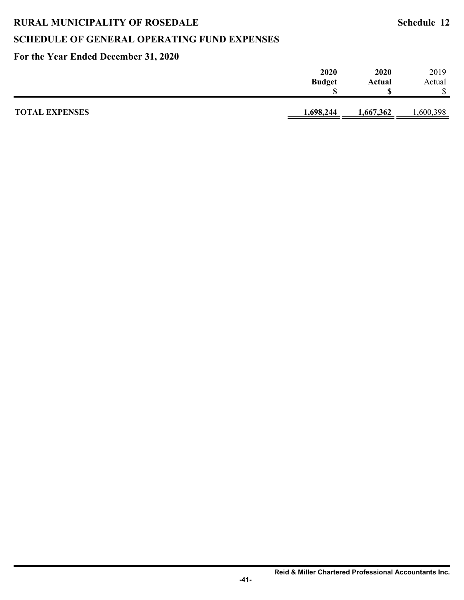# **SCHEDULE OF GENERAL OPERATING FUND EXPENSES**

| 2020          | 2020      | 2019      |
|---------------|-----------|-----------|
| <b>Budget</b> | Actual    | Actual    |
|               |           | ሖ<br>᠕    |
|               |           |           |
| 1,698,244     | 1,667,362 | 1,600,398 |
|               |           |           |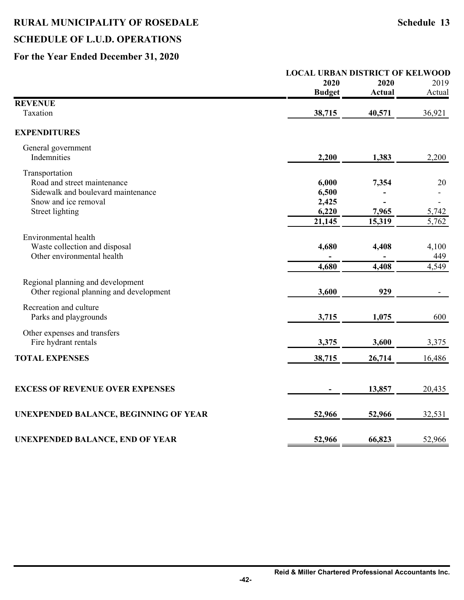# **RURAL MUNICIPALITY OF ROSEDALE Schedule 13 SCHEDULE OF L.U.D. OPERATIONS**

# **For the Year Ended December 31, 2020**

|                                         |               | <b>LOCAL URBAN DISTRICT OF KELWOOD</b> |                    |  |  |
|-----------------------------------------|---------------|----------------------------------------|--------------------|--|--|
|                                         | 2020          | 2020                                   | 2019               |  |  |
|                                         | <b>Budget</b> | Actual                                 | Actual             |  |  |
| <b>REVENUE</b>                          |               |                                        |                    |  |  |
| Taxation                                | 38,715        | 40,571                                 | 36,921             |  |  |
| <b>EXPENDITURES</b>                     |               |                                        |                    |  |  |
| General government                      |               |                                        |                    |  |  |
| Indemnities                             | 2,200         | 1,383                                  | 2,200              |  |  |
| Transportation                          |               |                                        |                    |  |  |
| Road and street maintenance             | 6,000         | 7,354                                  | 20                 |  |  |
| Sidewalk and boulevard maintenance      | 6,500         |                                        |                    |  |  |
| Snow and ice removal                    | 2,425         |                                        |                    |  |  |
| Street lighting                         | 6,220         | 7,965                                  | 5,742              |  |  |
|                                         | 21,145        | 15,319                                 | $\overline{5,762}$ |  |  |
| Environmental health                    |               |                                        |                    |  |  |
| Waste collection and disposal           | 4,680         | 4,408                                  | 4,100              |  |  |
| Other environmental health              |               |                                        | 449                |  |  |
|                                         | 4,680         | 4,408                                  | 4,549              |  |  |
| Regional planning and development       |               |                                        |                    |  |  |
| Other regional planning and development | 3,600         | 929                                    |                    |  |  |
|                                         |               |                                        |                    |  |  |
| Recreation and culture                  |               |                                        |                    |  |  |
| Parks and playgrounds                   | 3,715         | 1,075                                  | 600                |  |  |
| Other expenses and transfers            |               |                                        |                    |  |  |
| Fire hydrant rentals                    | 3,375         | 3,600                                  | 3,375              |  |  |
| <b>TOTAL EXPENSES</b>                   | 38,715        | 26,714                                 | 16,486             |  |  |
|                                         |               |                                        |                    |  |  |
| <b>EXCESS OF REVENUE OVER EXPENSES</b>  |               | 13,857                                 | 20,435             |  |  |
|                                         |               |                                        |                    |  |  |
| UNEXPENDED BALANCE, BEGINNING OF YEAR   | 52,966        | 52,966                                 | 32,531             |  |  |
|                                         |               |                                        |                    |  |  |

# **UNEXPENDED BALANCE, END OF YEAR** 52,966 52,966 52,966 52,966 52,966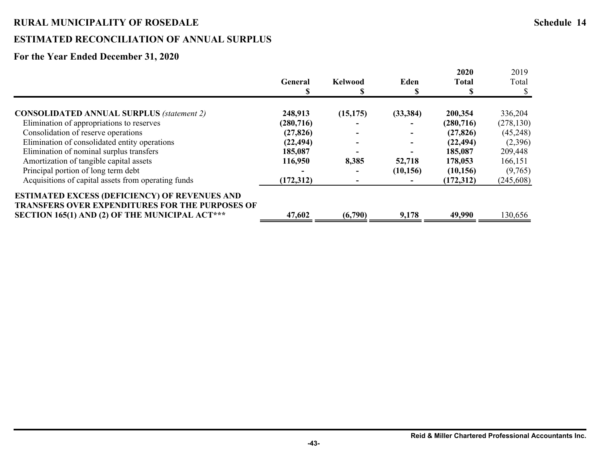# **ESTIMATED RECONCILIATION OF ANNUAL SURPLUS**

|                                                        |            |                |           | 2020         | 2019       |
|--------------------------------------------------------|------------|----------------|-----------|--------------|------------|
|                                                        | General    | <b>Kelwood</b> | Eden      | <b>Total</b> | Total      |
|                                                        |            |                |           |              |            |
|                                                        |            |                |           |              |            |
| <b>CONSOLIDATED ANNUAL SURPLUS (statement 2)</b>       | 248,913    | (15, 175)      | (33, 384) | 200,354      | 336,204    |
| Elimination of appropriations to reserves              | (280, 716) |                |           | (280,716)    | (278, 130) |
| Consolidation of reserve operations                    | (27, 826)  |                |           | (27, 826)    | (45,248)   |
| Elimination of consolidated entity operations          | (22, 494)  |                |           | (22, 494)    | (2,396)    |
| Elimination of nominal surplus transfers               | 185,087    |                |           | 185,087      | 209,448    |
| Amortization of tangible capital assets                | 116,950    | 8,385          | 52,718    | 178,053      | 166,151    |
| Principal portion of long term debt                    |            |                | (10, 156) | (10, 156)    | (9,765)    |
| Acquisitions of capital assets from operating funds    | (172, 312) |                |           | (172, 312)   | (245,608)  |
| <b>ESTIMATED EXCESS (DEFICIENCY) OF REVENUES AND</b>   |            |                |           |              |            |
| <b>TRANSFERS OVER EXPENDITURES FOR THE PURPOSES OF</b> |            |                |           |              |            |
| SECTION 165(1) AND (2) OF THE MUNICIPAL ACT***         | 47,602     | (6,790)        | 9,178     | 49,990       | 130,656    |